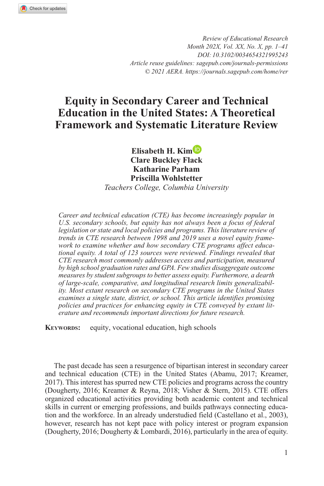*Review of Educational Research Month 202X, Vol. XX, No. X, pp. 1–41 DOI:https://doi.org/10.3102/0034654321995243 Article reuse guidelines: [sagepub.com/journals-permissions](https://us.sagepub.com/en-us/journals-permissions) © 2021 AERA. https://journals.sagepub.com/home/rer*

# **Equity in Secondary Career and Technical Education in the United States: A Theoretical Framework and Systematic Literature Review**

**Elisabeth H. Kim Clare Buckley Flack Katharine Parham Priscilla Wohlstetter** *Teachers College, Columbia University*

*Career and technical education (CTE) has become increasingly popular in U.S. secondary schools, but equity has not always been a focus of federal*  legislation or state and local policies and programs. This literature review of *trends in CTE research between 1998 and 2019 uses a novel equity framework to examine whether and how secondary CTE programs affect educational equity. A total of 123 sources were reviewed. Findings revealed that CTE research most commonly addresses access and participation, measured by high school graduation rates and GPA. Few studies disaggregate outcome measures by student subgroups to better assess equity. Furthermore, a dearth of large-scale, comparative, and longitudinal research limits generalizability. Most extant research on secondary CTE programs in the United States examines a single state, district, or school. This article identifies promising policies and practices for enhancing equity in CTE conveyed by extant literature and recommends important directions for future research.*

**KEYWORDS:** equity, vocational education, high schools

The past decade has seen a resurgence of bipartisan interest in secondary career and technical education (CTE) in the United States (Abamu, 2017; Kreamer, 2017). This interest has spurred new CTE policies and programs across the country (Dougherty, 2016; Kreamer & Reyna, 2018; Visher & Stern, 2015). CTE offers organized educational activities providing both academic content and technical skills in current or emerging professions, and builds pathways connecting education and the workforce. In an already understudied field (Castellano et al., 2003), however, research has not kept pace with policy interest or program expansion (Dougherty, 2016; Dougherty & Lombardi, 2016), particularly in the area of equity.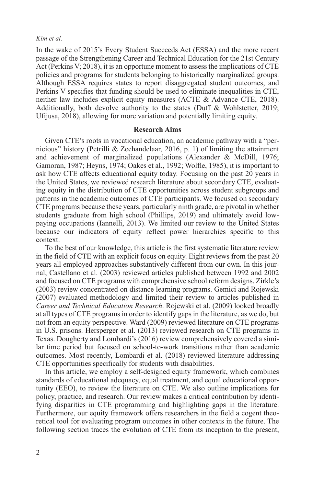In the wake of 2015's Every Student Succeeds Act (ESSA) and the more recent passage of the Strengthening Career and Technical Education for the 21st Century Act (Perkins V; 2018), it is an opportune moment to assess the implications of CTE policies and programs for students belonging to historically marginalized groups. Although ESSA requires states to report disaggregated student outcomes, and Perkins V specifies that funding should be used to eliminate inequalities in CTE, neither law includes explicit equity measures (ACTE & Advance CTE, 2018). Additionally, both devolve authority to the states (Duff & Wohlstetter, 2019; Ufijusa, 2018), allowing for more variation and potentially limiting equity.

#### **Research Aims**

Given CTE's roots in vocational education, an academic pathway with a "pernicious" history (Petrilli & Zeehandelaar, 2016, p. 1) of limiting the attainment and achievement of marginalized populations (Alexander & McDill, 1976; Gamoran, 1987; Heyns, 1974; Oakes et al., 1992; Wolfle, 1985), it is important to ask how CTE affects educational equity today. Focusing on the past 20 years in the United States, we reviewed research literature about secondary CTE, evaluating equity in the distribution of CTE opportunities across student subgroups and patterns in the academic outcomes of CTE participants. We focused on secondary CTE programs because these years, particularly ninth grade, are pivotal in whether students graduate from high school (Phillips, 2019) and ultimately avoid lowpaying occupations (Iannelli, 2013). We limited our review to the United States because our indicators of equity reflect power hierarchies specific to this context.

To the best of our knowledge, this article is the first systematic literature review in the field of CTE with an explicit focus on equity. Eight reviews from the past 20 years all employed approaches substantively different from our own. In this journal, Castellano et al. (2003) reviewed articles published between 1992 and 2002 and focused on CTE programs with comprehensive school reform designs. Zirkle's (2003) review concentrated on distance learning programs. Gemici and Rojewski (2007) evaluated methodology and limited their review to articles published in *Career and Technical Education Research*. Rojewski et al. (2009) looked broadly at all types of CTE programs in order to identify gaps in the literature, as we do, but not from an equity perspective. Ward (2009) reviewed literature on CTE programs in U.S. prisons. Hersperger et al. (2013) reviewed research on CTE programs in Texas. Dougherty and Lombardi's (2016) review comprehensively covered a similar time period but focused on school-to-work transitions rather than academic outcomes. Most recently, Lombardi et al. (2018) reviewed literature addressing CTE opportunities specifically for students with disabilities.

In this article, we employ a self-designed equity framework, which combines standards of educational adequacy, equal treatment, and equal educational opportunity (EEO), to review the literature on CTE. We also outline implications for policy, practice, and research. Our review makes a critical contribution by identifying disparities in CTE programming and highlighting gaps in the literature. Furthermore, our equity framework offers researchers in the field a cogent theoretical tool for evaluating program outcomes in other contexts in the future. The following section traces the evolution of CTE from its inception to the present,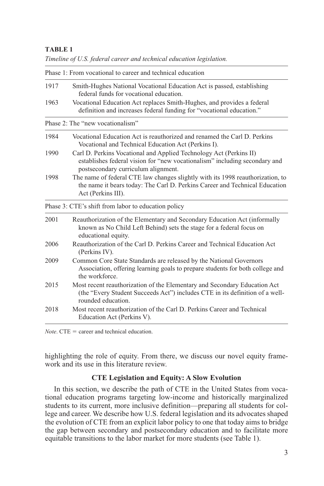| Timeline of U.S. federal career and technical education legislation. |  |
|----------------------------------------------------------------------|--|
| Phase 1: From vocational to career and technical education           |  |

| 1917 | Smith-Hughes National Vocational Education Act is passed, establishing<br>federal funds for vocational education.                                                                       |  |  |
|------|-----------------------------------------------------------------------------------------------------------------------------------------------------------------------------------------|--|--|
| 1963 | Vocational Education Act replaces Smith-Hughes, and provides a federal<br>definition and increases federal funding for "vocational education."                                          |  |  |
|      | Phase 2: The "new vocationalism"                                                                                                                                                        |  |  |
| 1984 | Vocational Education Act is reauthorized and renamed the Carl D. Perkins<br>Vocational and Technical Education Act (Perkins I).                                                         |  |  |
| 1990 | Carl D. Perkins Vocational and Applied Technology Act (Perkins II)<br>establishes federal vision for "new vocationalism" including secondary and<br>postsecondary curriculum alignment. |  |  |
| 1998 | The name of federal CTE law changes slightly with its 1998 reauthorization, to<br>the name it bears today: The Carl D. Perkins Career and Technical Education<br>Act (Perkins III).     |  |  |
|      | Phase 3: CTE's shift from labor to education policy                                                                                                                                     |  |  |
| 2001 | Reauthorization of the Elementary and Secondary Education Act (informally<br>known as No Child Left Behind) sets the stage for a federal focus on<br>educational equity.                |  |  |
| 2006 | Reauthorization of the Carl D. Perkins Career and Technical Education Act<br>(Perkins IV).                                                                                              |  |  |
| 2009 | Common Core State Standards are released by the National Governors<br>Association, offering learning goals to prepare students for both college and<br>the workforce.                   |  |  |
| 2015 | Most recent reauthorization of the Elementary and Secondary Education Act<br>(the "Every Student Succeeds Act") includes CTE in its definition of a well-<br>rounded education.         |  |  |
| 2018 | Most recent reauthorization of the Carl D. Perkins Career and Technical<br>Education Act (Perkins V).                                                                                   |  |  |

*Note*. CTE = career and technical education.

highlighting the role of equity. From there, we discuss our novel equity framework and its use in this literature review.

# **CTE Legislation and Equity: A Slow Evolution**

In this section, we describe the path of CTE in the United States from vocational education programs targeting low-income and historically marginalized students to its current, more inclusive definition—preparing all students for college and career. We describe how U.S. federal legislation and its advocates shaped the evolution of CTE from an explicit labor policy to one that today aims to bridge the gap between secondary and postsecondary education and to facilitate more equitable transitions to the labor market for more students (see Table 1).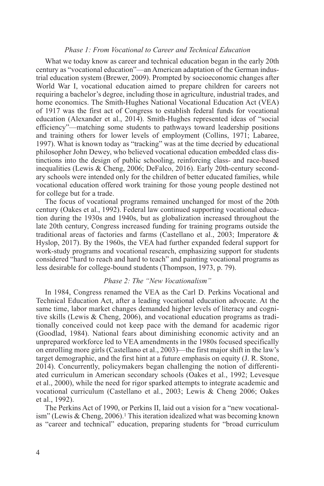## *Phase 1: From Vocational to Career and Technical Education*

What we today know as career and technical education began in the early 20th century as "vocational education"—an American adaptation of the German industrial education system (Brewer, 2009). Prompted by socioeconomic changes after World War I, vocational education aimed to prepare children for careers not requiring a bachelor's degree, including those in agriculture, industrial trades, and home economics. The Smith-Hughes National Vocational Education Act (VEA) of 1917 was the first act of Congress to establish federal funds for vocational education (Alexander et al., 2014). Smith-Hughes represented ideas of "social efficiency"—matching some students to pathways toward leadership positions and training others for lower levels of employment (Collins, 1971; Labaree, 1997). What is known today as "tracking" was at the time decried by educational philosopher John Dewey, who believed vocational education embedded class distinctions into the design of public schooling, reinforcing class- and race-based inequalities (Lewis & Cheng, 2006; DeFalco, 2016). Early 20th-century secondary schools were intended only for the children of better educated families, while vocational education offered work training for those young people destined not for college but for a trade.

The focus of vocational programs remained unchanged for most of the 20th century (Oakes et al., 1992). Federal law continued supporting vocational education during the 1930s and 1940s, but as globalization increased throughout the late 20th century, Congress increased funding for training programs outside the traditional areas of factories and farms (Castellano et al., 2003; Imperatore & Hyslop, 2017). By the 1960s, the VEA had further expanded federal support for work-study programs and vocational research, emphasizing support for students considered "hard to reach and hard to teach" and painting vocational programs as less desirable for college-bound students (Thompson, 1973, p. 79).

## *Phase 2: The "New Vocationalism"*

In 1984, Congress renamed the VEA as the Carl D. Perkins Vocational and Technical Education Act, after a leading vocational education advocate. At the same time, labor market changes demanded higher levels of literacy and cognitive skills (Lewis & Cheng, 2006), and vocational education programs as traditionally conceived could not keep pace with the demand for academic rigor (Goodlad, 1984). National fears about diminishing economic activity and an unprepared workforce led to VEA amendments in the 1980s focused specifically on enrolling more girls (Castellano et al., 2003)—the first major shift in the law's target demographic, and the first hint at a future emphasis on equity (J. R. Stone, 2014). Concurrently, policymakers began challenging the notion of differentiated curriculum in American secondary schools (Oakes et al., 1992; Levesque et al., 2000), while the need for rigor sparked attempts to integrate academic and vocational curriculum (Castellano et al., 2003; Lewis & Cheng 2006; Oakes et al., 1992).

The Perkins Act of 1990, or Perkins II, laid out a vision for a "new vocationalism" (Lewis & Cheng, 2006).<sup>1</sup> This iteration idealized what was becoming known as "career and technical" education, preparing students for "broad curriculum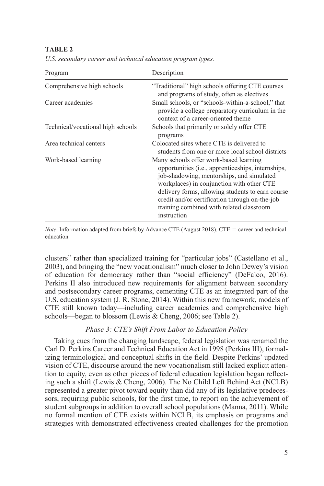| Program                           | Description                                                                                                                                                                                                                                                                                                                                             |
|-----------------------------------|---------------------------------------------------------------------------------------------------------------------------------------------------------------------------------------------------------------------------------------------------------------------------------------------------------------------------------------------------------|
| Comprehensive high schools        | "Traditional" high schools offering CTE courses<br>and programs of study, often as electives                                                                                                                                                                                                                                                            |
| Career academies                  | Small schools, or "schools-within-a-school," that<br>provide a college preparatory curriculum in the<br>context of a career-oriented theme                                                                                                                                                                                                              |
| Technical/vocational high schools | Schools that primarily or solely offer CTE<br>programs                                                                                                                                                                                                                                                                                                  |
| Area technical centers            | Colocated sites where CTE is delivered to<br>students from one or more local school districts                                                                                                                                                                                                                                                           |
| Work-based learning               | Many schools offer work-based learning<br>opportunities (i.e., apprenticeships, internships,<br>job-shadowing, mentorships, and simulated<br>workplaces) in conjunction with other CTE<br>delivery forms, allowing students to earn course<br>credit and/or certification through on-the-job<br>training combined with related classroom<br>instruction |

*U.S. secondary career and technical education program types.*

*Note*. Information adapted from briefs by Advance CTE (August 2018). CTE = career and technical education.

clusters" rather than specialized training for "particular jobs" (Castellano et al., 2003), and bringing the "new vocationalism" much closer to John Dewey's vision of education for democracy rather than "social efficiency" (DeFalco, 2016). Perkins II also introduced new requirements for alignment between secondary and postsecondary career programs, cementing CTE as an integrated part of the U.S. education system (J. R. Stone, 2014). Within this new framework, models of CTE still known today—including career academies and comprehensive high schools—began to blossom (Lewis & Cheng, 2006; see Table 2).

## *Phase 3: CTE's Shift From Labor to Education Policy*

Taking cues from the changing landscape, federal legislation was renamed the Carl D. Perkins Career and Technical Education Act in 1998 (Perkins III), formalizing terminological and conceptual shifts in the field. Despite Perkins' updated vision of CTE, discourse around the new vocationalism still lacked explicit attention to equity, even as other pieces of federal education legislation began reflecting such a shift (Lewis & Cheng, 2006). The No Child Left Behind Act (NCLB) represented a greater pivot toward equity than did any of its legislative predecessors, requiring public schools, for the first time, to report on the achievement of student subgroups in addition to overall school populations (Manna, 2011). While no formal mention of CTE exists within NCLB, its emphasis on programs and strategies with demonstrated effectiveness created challenges for the promotion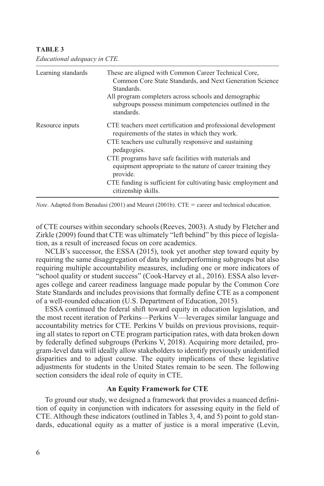| Learning standards | These are aligned with Common Career Technical Core,<br>Common Core State Standards, and Next Generation Science<br>Standards.  |
|--------------------|---------------------------------------------------------------------------------------------------------------------------------|
|                    | All program completers across schools and demographic<br>subgroups possess minimum competencies outlined in the<br>standards.   |
| Resource inputs    | CTE teachers meet certification and professional development<br>requirements of the states in which they work.                  |
|                    | CTE teachers use culturally responsive and sustaining<br>pedagogies.                                                            |
|                    | CTE programs have safe facilities with materials and<br>equipment appropriate to the nature of career training they<br>provide. |
|                    | CTE funding is sufficient for cultivating basic employment and<br>citizenship skills.                                           |

*Educational adequacy in CTE.*

*Note*. Adapted from Benadusi (2001) and Meuret (2001b). CTE = career and technical education.

of CTE courses within secondary schools (Reeves, 2003). A study by Fletcher and Zirkle (2009) found that CTE was ultimately "left behind" by this piece of legislation, as a result of increased focus on core academics.

NCLB's successor, the ESSA (2015), took yet another step toward equity by requiring the same disaggregation of data by underperforming subgroups but also requiring multiple accountability measures, including one or more indicators of "school quality or student success" (Cook-Harvey et al., 2016). ESSA also leverages college and career readiness language made popular by the Common Core State Standards and includes provisions that formally define CTE as a component of a well-rounded education (U.S. Department of Education, 2015).

ESSA continued the federal shift toward equity in education legislation, and the most recent iteration of Perkins—Perkins V—leverages similar language and accountability metrics for CTE. Perkins V builds on previous provisions, requiring all states to report on CTE program participation rates, with data broken down by federally defined subgroups (Perkins V, 2018). Acquiring more detailed, program-level data will ideally allow stakeholders to identify previously unidentified disparities and to adjust course. The equity implications of these legislative adjustments for students in the United States remain to be seen. The following section considers the ideal role of equity in CTE.

## **An Equity Framework for CTE**

To ground our study, we designed a framework that provides a nuanced definition of equity in conjunction with indicators for assessing equity in the field of CTE. Although these indicators (outlined in Tables 3, 4, and 5) point to gold standards, educational equity as a matter of justice is a moral imperative (Levin,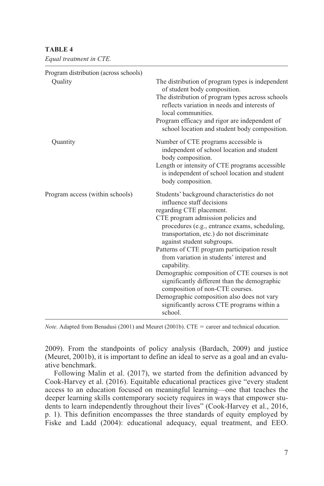*Equal treatment in CTE.*

| Program distribution (across schools)<br>Quality | The distribution of program types is independent<br>of student body composition.<br>The distribution of program types across schools<br>reflects variation in needs and interests of<br>local communities.<br>Program efficacy and rigor are independent of<br>school location and student body composition.                                                                                                                                                                                                                                                                                                                 |
|--------------------------------------------------|------------------------------------------------------------------------------------------------------------------------------------------------------------------------------------------------------------------------------------------------------------------------------------------------------------------------------------------------------------------------------------------------------------------------------------------------------------------------------------------------------------------------------------------------------------------------------------------------------------------------------|
| Quantity                                         | Number of CTE programs accessible is<br>independent of school location and student<br>body composition.<br>Length or intensity of CTE programs accessible<br>is independent of school location and student<br>body composition.                                                                                                                                                                                                                                                                                                                                                                                              |
| Program access (within schools)                  | Students' background characteristics do not<br>influence staff decisions<br>regarding CTE placement.<br>CTE program admission policies and<br>procedures (e.g., entrance exams, scheduling,<br>transportation, etc.) do not discriminate<br>against student subgroups.<br>Patterns of CTE program participation result<br>from variation in students' interest and<br>capability.<br>Demographic composition of CTE courses is not<br>significantly different than the demographic<br>composition of non-CTE courses.<br>Demographic composition also does not vary<br>significantly across CTE programs within a<br>school. |

*Note*. Adapted from Benadusi (2001) and Meuret (2001b). CTE = career and technical education.

2009). From the standpoints of policy analysis (Bardach, 2009) and justice (Meuret, 2001b), it is important to define an ideal to serve as a goal and an evaluative benchmark.

Following Malin et al. (2017), we started from the definition advanced by Cook-Harvey et al. (2016). Equitable educational practices give "every student access to an education focused on meaningful learning—one that teaches the deeper learning skills contemporary society requires in ways that empower students to learn independently throughout their lives" (Cook-Harvey et al., 2016, p. 1). This definition encompasses the three standards of equity employed by Fiske and Ladd (2004): educational adequacy, equal treatment, and EEO.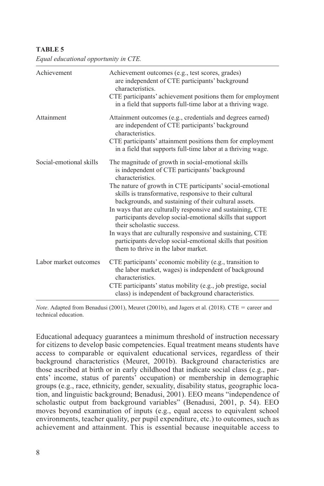| Achievement             | Achievement outcomes (e.g., test scores, grades)<br>are independent of CTE participants' background<br>characteristics.<br>CTE participants' achievement positions them for employment<br>in a field that supports full-time labor at a thriving wage.                                                                                                                                                                                                                                                                                                                                                                               |
|-------------------------|--------------------------------------------------------------------------------------------------------------------------------------------------------------------------------------------------------------------------------------------------------------------------------------------------------------------------------------------------------------------------------------------------------------------------------------------------------------------------------------------------------------------------------------------------------------------------------------------------------------------------------------|
| Attainment              | Attainment outcomes (e.g., credentials and degrees earned)<br>are independent of CTE participants' background<br>characteristics.<br>CTE participants' attainment positions them for employment<br>in a field that supports full-time labor at a thriving wage.                                                                                                                                                                                                                                                                                                                                                                      |
| Social-emotional skills | The magnitude of growth in social-emotional skills<br>is independent of CTE participants' background<br>characteristics.<br>The nature of growth in CTE participants' social-emotional<br>skills is transformative, responsive to their cultural<br>backgrounds, and sustaining of their cultural assets.<br>In ways that are culturally responsive and sustaining, CTE<br>participants develop social-emotional skills that support<br>their scholastic success.<br>In ways that are culturally responsive and sustaining, CTE<br>participants develop social-emotional skills that position<br>them to thrive in the labor market. |
| Labor market outcomes   | CTE participants' economic mobility (e.g., transition to<br>the labor market, wages) is independent of background<br>characteristics.<br>CTE participants' status mobility (e.g., job prestige, social<br>class) is independent of background characteristics.                                                                                                                                                                                                                                                                                                                                                                       |

*Equal educational opportunity in CTE.*

*Note*. Adapted from Benadusi (2001), Meuret (2001b), and Jagers et al. (2018). CTE = career and technical education.

Educational adequacy guarantees a minimum threshold of instruction necessary for citizens to develop basic competencies. Equal treatment means students have access to comparable or equivalent educational services, regardless of their background characteristics (Meuret, 2001b). Background characteristics are those ascribed at birth or in early childhood that indicate social class (e.g., parents' income, status of parents' occupation) or membership in demographic groups (e.g., race, ethnicity, gender, sexuality, disability status, geographic location, and linguistic background; Benadusi, 2001). EEO means "independence of scholastic output from background variables" (Benadusi, 2001, p. 54). EEO moves beyond examination of inputs (e.g., equal access to equivalent school environments, teacher quality, per pupil expenditure, etc.) to outcomes, such as achievement and attainment. This is essential because inequitable access to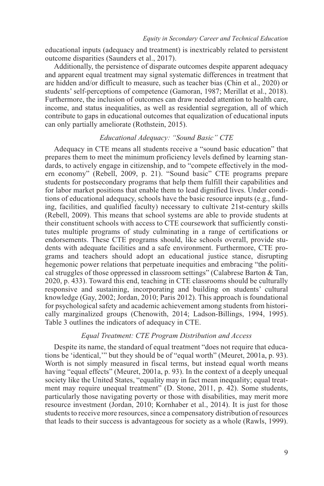educational inputs (adequacy and treatment) is inextricably related to persistent outcome disparities (Saunders et al., 2017).

Additionally, the persistence of disparate outcomes despite apparent adequacy and apparent equal treatment may signal systematic differences in treatment that are hidden and/or difficult to measure, such as teacher bias (Chin et al., 2020) or students' self-perceptions of competence (Gamoran, 1987; Merillat et al., 2018). Furthermore, the inclusion of outcomes can draw needed attention to health care, income, and status inequalities, as well as residential segregation, all of which contribute to gaps in educational outcomes that equalization of educational inputs can only partially ameliorate (Rothstein, 2015).

## *Educational Adequacy: "Sound Basic" CTE*

Adequacy in CTE means all students receive a "sound basic education" that prepares them to meet the minimum proficiency levels defined by learning standards, to actively engage in citizenship, and to "compete effectively in the modern economy" (Rebell, 2009, p. 21). "Sound basic" CTE programs prepare students for postsecondary programs that help them fulfill their capabilities and for labor market positions that enable them to lead dignified lives. Under conditions of educational adequacy, schools have the basic resource inputs (e.g., funding, facilities, and qualified faculty) necessary to cultivate 21st-century skills (Rebell, 2009). This means that school systems are able to provide students at their constituent schools with access to CTE coursework that sufficiently constitutes multiple programs of study culminating in a range of certifications or endorsements. These CTE programs should, like schools overall, provide students with adequate facilities and a safe environment. Furthermore, CTE programs and teachers should adopt an educational justice stance, disrupting hegemonic power relations that perpetuate inequities and embracing "the political struggles of those oppressed in classroom settings" (Calabrese Barton & Tan, 2020, p. 433). Toward this end, teaching in CTE classrooms should be culturally responsive and sustaining, incorporating and building on students' cultural knowledge (Gay, 2002; Jordan, 2010; Paris 2012). This approach is foundational for psychological safety and academic achievement among students from historically marginalized groups (Chenowith, 2014; Ladson-Billings, 1994, 1995). Table 3 outlines the indicators of adequacy in CTE.

## *Equal Treatment: CTE Program Distribution and Access*

Despite its name, the standard of equal treatment "does not require that educations be 'identical,'" but they should be of "equal worth" (Meuret, 2001a, p. 93). Worth is not simply measured in fiscal terms, but instead equal worth means having "equal effects" (Meuret, 2001a, p. 93). In the context of a deeply unequal society like the United States, "equality may in fact mean inequality; equal treatment may require unequal treatment" (D. Stone, 2011, p. 42). Some students, particularly those navigating poverty or those with disabilities, may merit more resource investment (Jordan, 2010; Kornhaber et al., 2014). It is just for those students to receive more resources, since a compensatory distribution of resources that leads to their success is advantageous for society as a whole (Rawls, 1999).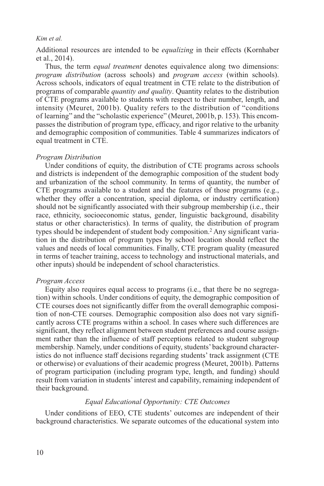Additional resources are intended to be *equalizing* in their effects (Kornhaber et al., 2014).

Thus, the term *equal treatment* denotes equivalence along two dimensions: *program distribution* (across schools) and *program access* (within schools). Across schools, indicators of equal treatment in CTE relate to the distribution of programs of comparable *quantity and quality*. Quantity relates to the distribution of CTE programs available to students with respect to their number, length, and intensity (Meuret, 2001b). Quality refers to the distribution of "conditions of learning" and the "scholastic experience" (Meuret, 2001b, p. 153). This encompasses the distribution of program type, efficacy, and rigor relative to the urbanity and demographic composition of communities. Table 4 summarizes indicators of equal treatment in CTE.

### *Program Distribution*

Under conditions of equity, the distribution of CTE programs across schools and districts is independent of the demographic composition of the student body and urbanization of the school community. In terms of quantity, the number of CTE programs available to a student and the features of those programs (e.g., whether they offer a concentration, special diploma, or industry certification) should not be significantly associated with their subgroup membership (i.e., their race, ethnicity, socioeconomic status, gender, linguistic background, disability status or other characteristics). In terms of quality, the distribution of program types should be independent of student body composition.2 Any significant variation in the distribution of program types by school location should reflect the values and needs of local communities. Finally, CTE program quality (measured in terms of teacher training, access to technology and instructional materials, and other inputs) should be independent of school characteristics.

## *Program Access*

Equity also requires equal access to programs (i.e., that there be no segregation) within schools. Under conditions of equity, the demographic composition of CTE courses does not significantly differ from the overall demographic composition of non-CTE courses. Demographic composition also does not vary significantly across CTE programs within a school. In cases where such differences are significant, they reflect alignment between student preferences and course assignment rather than the influence of staff perceptions related to student subgroup membership. Namely, under conditions of equity, students' background characteristics do not influence staff decisions regarding students' track assignment (CTE or otherwise) or evaluations of their academic progress (Meuret, 2001b). Patterns of program participation (including program type, length, and funding) should result from variation in students' interest and capability, remaining independent of their background.

## *Equal Educational Opportunity: CTE Outcomes*

Under conditions of EEO, CTE students' outcomes are independent of their background characteristics. We separate outcomes of the educational system into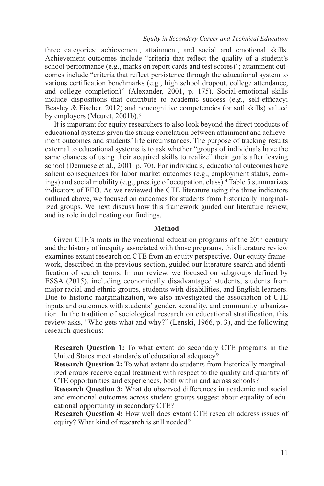three categories: achievement, attainment, and social and emotional skills. Achievement outcomes include "criteria that reflect the quality of a student's school performance (e.g., marks on report cards and test scores)"; attainment outcomes include "criteria that reflect persistence through the educational system to various certification benchmarks (e.g., high school dropout, college attendance, and college completion)" (Alexander, 2001, p. 175). Social-emotional skills include dispositions that contribute to academic success (e.g., self-efficacy; Beasley & Fischer, 2012) and noncognitive competencies (or soft skills) valued by employers (Meuret, 2001b).3

It is important for equity researchers to also look beyond the direct products of educational systems given the strong correlation between attainment and achievement outcomes and students' life circumstances. The purpose of tracking results external to educational systems is to ask whether "groups of individuals have the same chances of using their acquired skills to realize" their goals after leaving school (Demuese et al., 2001, p. 70). For individuals, educational outcomes have salient consequences for labor market outcomes (e.g., employment status, earnings) and social mobility (e.g., prestige of occupation, class).4 Table 5 summarizes indicators of EEO. As we reviewed the CTE literature using the three indicators outlined above, we focused on outcomes for students from historically marginalized groups. We next discuss how this framework guided our literature review, and its role in delineating our findings.

## **Method**

Given CTE's roots in the vocational education programs of the 20th century and the history of inequity associated with those programs, this literature review examines extant research on CTE from an equity perspective. Our equity framework, described in the previous section, guided our literature search and identification of search terms. In our review, we focused on subgroups defined by ESSA (2015), including economically disadvantaged students, students from major racial and ethnic groups, students with disabilities, and English learners. Due to historic marginalization, we also investigated the association of CTE inputs and outcomes with students' gender, sexuality, and community urbanization. In the tradition of sociological research on educational stratification, this review asks, "Who gets what and why?" (Lenski, 1966, p. 3), and the following research questions:

**Research Question 1:** To what extent do secondary CTE programs in the United States meet standards of educational adequacy?

**Research Question 2:** To what extent do students from historically marginalized groups receive equal treatment with respect to the quality and quantity of CTE opportunities and experiences, both within and across schools?

**Research Question 3:** What do observed differences in academic and social and emotional outcomes across student groups suggest about equality of educational opportunity in secondary CTE?

**Research Question 4:** How well does extant CTE research address issues of equity? What kind of research is still needed?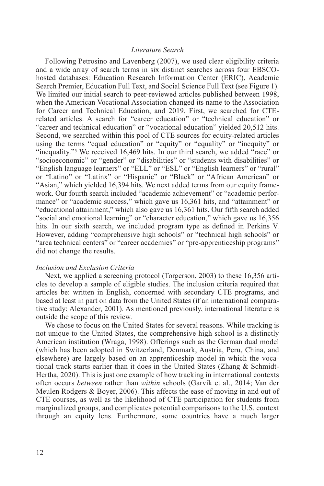# *Literature Search*

Following Petrosino and Lavenberg (2007), we used clear eligibility criteria and a wide array of search terms in six distinct searches across four EBSCOhosted databases: Education Research Information Center (ERIC), Academic Search Premier, Education Full Text, and Social Science Full Text (see Figure 1). We limited our initial search to peer-reviewed articles published between 1998, when the American Vocational Association changed its name to the Association for Career and Technical Education, and 2019. First, we searched for CTErelated articles. A search for "career education" or "technical education" or "career and technical education" or "vocational education" yielded 20,512 hits. Second, we searched within this pool of CTE sources for equity-related articles using the terms "equal education" or "equity" or "equality" or "inequity" or "inequality."<sup>5</sup> We received 16,469 hits. In our third search, we added "race" or "socioeconomic" or "gender" or "disabilities" or "students with disabilities" or "English language learners" or "ELL" or "ESL" or "English learners" or "rural" or "Latino" or "Latinx" or "Hispanic" or "Black" or "African American" or "Asian," which yielded 16,394 hits. We next added terms from our equity framework. Our fourth search included "academic achievement" or "academic performance" or "academic success," which gave us 16,361 hits, and "attainment" or "educational attainment," which also gave us 16,361 hits. Our fifth search added "social and emotional learning" or "character education," which gave us 16,356 hits. In our sixth search, we included program type as defined in Perkins V. However, adding "comprehensive high schools" or "technical high schools" or "area technical centers" or "career academies" or "pre-apprenticeship programs" did not change the results.

#### *Inclusion and Exclusion Criteria*

Next, we applied a screening protocol (Torgerson, 2003) to these 16,356 articles to develop a sample of eligible studies. The inclusion criteria required that articles be: written in English, concerned with secondary CTE programs, and based at least in part on data from the United States (if an international comparative study; Alexander, 2001). As mentioned previously, international literature is outside the scope of this review.

We chose to focus on the United States for several reasons. While tracking is not unique to the United States, the comprehensive high school is a distinctly American institution (Wraga, 1998). Offerings such as the German dual model (which has been adopted in Switzerland, Denmark, Austria, Peru, China, and elsewhere) are largely based on an apprenticeship model in which the vocational track starts earlier than it does in the United States (Zhang & Schmidt-Hertha, 2020). This is just one example of how tracking in international contexts often occurs *between* rather than *within* schools (Garvik et al., 2014; Van der Meulen Rodgers & Boyer, 2006). This affects the ease of moving in and out of CTE courses, as well as the likelihood of CTE participation for students from marginalized groups, and complicates potential comparisons to the U.S. context through an equity lens. Furthermore, some countries have a much larger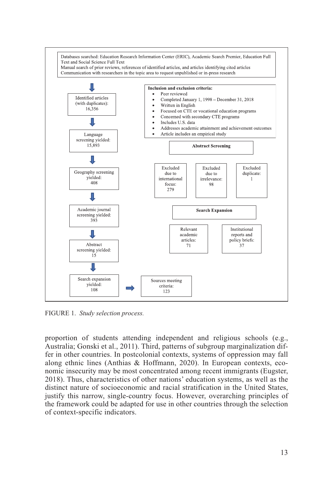

FIGURE 1. Study selection process.

proportion of students attending independent and religious schools (e.g., Australia; Gonski et al., 2011). Third, patterns of subgroup marginalization differ in other countries. In postcolonial contexts, systems of oppression may fall along ethnic lines (Anthias & Hoffmann, 2020). In European contexts, economic insecurity may be most concentrated among recent immigrants (Eugster, 2018). Thus, characteristics of other nations' education systems, as well as the distinct nature of socioeconomic and racial stratification in the United States, justify this narrow, single-country focus. However, overarching principles of the framework could be adapted for use in other countries through the selection of context-specific indicators.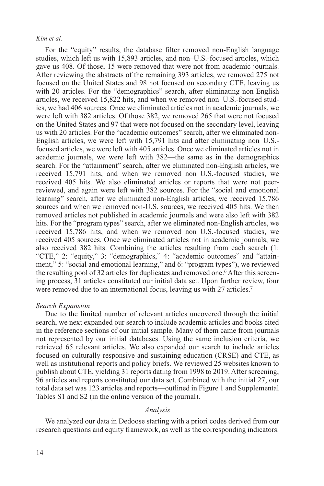For the "equity" results, the database filter removed non-English language studies, which left us with 15,893 articles, and non–U.S.-focused articles, which gave us 408. Of those, 15 were removed that were not from academic journals. After reviewing the abstracts of the remaining 393 articles, we removed 275 not focused on the United States and 98 not focused on secondary CTE, leaving us with 20 articles. For the "demographics" search, after eliminating non-English articles, we received 15,822 hits, and when we removed non–U.S.-focused studies, we had 406 sources. Once we eliminated articles not in academic journals, we were left with 382 articles. Of those 382, we removed 265 that were not focused on the United States and 97 that were not focused on the secondary level, leaving us with 20 articles. For the "academic outcomes" search, after we eliminated non-English articles, we were left with 15,791 hits and after eliminating non–U.S. focused articles, we were left with 405 articles. Once we eliminated articles not in academic journals, we were left with 382—the same as in the demographics search. For the "attainment" search, after we eliminated non-English articles, we received 15,791 hits, and when we removed non–U.S.-focused studies, we received 405 hits. We also eliminated articles or reports that were not peerreviewed, and again were left with 382 sources. For the "social and emotional learning" search, after we eliminated non-English articles, we received 15,786 sources and when we removed non-U.S. sources, we received 405 hits. We then removed articles not published in academic journals and were also left with 382 hits. For the "program types" search, after we eliminated non-English articles, we received 15,786 hits, and when we removed non–U.S.-focused studies, we received 405 sources. Once we eliminated articles not in academic journals, we also received 382 hits. Combining the articles resulting from each search (1: "CTE," 2: "equity," 3: "demographics," 4: "academic outcomes" and "attainment," 5: "social and emotional learning," and 6: "program types"), we reviewed the resulting pool of 32 articles for duplicates and removed one.<sup>6</sup> After this screening process, 31 articles constituted our initial data set. Upon further review, four were removed due to an international focus, leaving us with 27 articles.<sup>7</sup>

#### *Search Expansion*

Due to the limited number of relevant articles uncovered through the initial search, we next expanded our search to include academic articles and books cited in the reference sections of our initial sample. Many of them came from journals not represented by our initial databases. Using the same inclusion criteria, we retrieved 65 relevant articles. We also expanded our search to include articles focused on culturally responsive and sustaining education (CRSE) and CTE, as well as institutional reports and policy briefs. We reviewed 25 websites known to publish about CTE, yielding 31 reports dating from 1998 to 2019. After screening, 96 articles and reports constituted our data set. Combined with the initial 27, our total data set was 123 articles and reports—outlined in Figure 1 and Supplemental Tables S1 and S2 (in the online version of the journal).

## *Analysis*

We analyzed our data in Dedoose starting with a priori codes derived from our research questions and equity framework, as well as the corresponding indicators.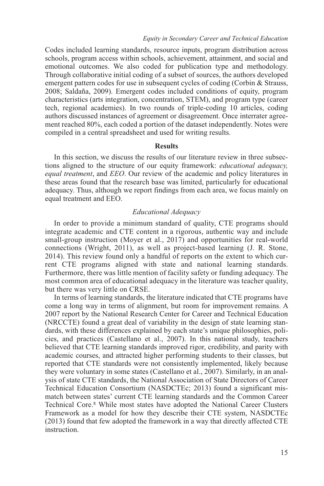Codes included learning standards, resource inputs, program distribution across schools, program access within schools, achievement, attainment, and social and emotional outcomes. We also coded for publication type and methodology. Through collaborative initial coding of a subset of sources, the authors developed emergent pattern codes for use in subsequent cycles of coding (Corbin & Strauss, 2008; Saldaña, 2009). Emergent codes included conditions of equity, program characteristics (arts integration, concentration, STEM), and program type (career tech, regional academies). In two rounds of triple-coding 10 articles, coding authors discussed instances of agreement or disagreement. Once interrater agreement reached 80%, each coded a portion of the dataset independently. Notes were compiled in a central spreadsheet and used for writing results.

## **Results**

In this section, we discuss the results of our literature review in three subsections aligned to the structure of our equity framework: *educational adequacy, equal treatment*, and *EEO*. Our review of the academic and policy literatures in these areas found that the research base was limited, particularly for educational adequacy. Thus, although we report findings from each area, we focus mainly on equal treatment and EEO.

# *Educational Adequacy*

In order to provide a minimum standard of quality, CTE programs should integrate academic and CTE content in a rigorous, authentic way and include small-group instruction (Moyer et al., 2017) and opportunities for real-world connections (Wright, 2011), as well as project-based learning (J. R. Stone, 2014). This review found only a handful of reports on the extent to which current CTE programs aligned with state and national learning standards. Furthermore, there was little mention of facility safety or funding adequacy. The most common area of educational adequacy in the literature was teacher quality, but there was very little on CRSE.

In terms of learning standards, the literature indicated that CTE programs have come a long way in terms of alignment, but room for improvement remains. A 2007 report by the National Research Center for Career and Technical Education (NRCCTE) found a great deal of variability in the design of state learning standards, with these differences explained by each state's unique philosophies, policies, and practices (Castellano et al., 2007). In this national study, teachers believed that CTE learning standards improved rigor, credibility, and parity with academic courses, and attracted higher performing students to their classes, but reported that CTE standards were not consistently implemented, likely because they were voluntary in some states (Castellano et al., 2007). Similarly, in an analysis of state CTE standards, the National Association of State Directors of Career Technical Education Consortium (NASDCTEc; 2013) found a significant mismatch between states' current CTE learning standards and the Common Career Technical Core.8 While most states have adopted the National Career Clusters Framework as a model for how they describe their CTE system, NASDCTEc (2013) found that few adopted the framework in a way that directly affected CTE instruction.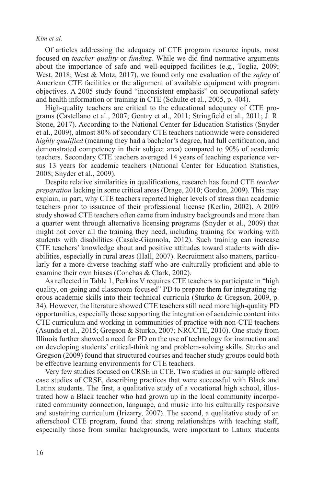Of articles addressing the adequacy of CTE program resource inputs, most focused on *teacher quality* or *funding*. While we did find normative arguments about the importance of safe and well-equipped facilities (e.g., Toglia, 2009; West, 2018; West & Motz, 2017), we found only one evaluation of the *safety* of American CTE facilities or the alignment of available equipment with program objectives. A 2005 study found "inconsistent emphasis" on occupational safety and health information or training in CTE (Schulte et al., 2005, p. 404).

High-quality teachers are critical to the educational adequacy of CTE programs (Castellano et al., 2007; Gentry et al., 2011; Stringfield et al., 2011; J. R. Stone, 2017). According to the National Center for Education Statistics (Snyder et al., 2009), almost 80% of secondary CTE teachers nationwide were considered *highly qualified* (meaning they had a bachelor's degree, had full certification, and demonstrated competency in their subject area) compared to 90% of academic teachers. Secondary CTE teachers averaged 14 years of teaching experience versus 13 years for academic teachers (National Center for Education Statistics, 2008; Snyder et al., 2009).

Despite relative similarities in qualifications, research has found CTE *teacher preparation* lacking in some critical areas (Drage, 2010; Gordon, 2009). This may explain, in part, why CTE teachers reported higher levels of stress than academic teachers prior to issuance of their professional license (Kerlin, 2002). A 2009 study showed CTE teachers often came from industry backgrounds and more than a quarter went through alternative licensing programs (Snyder et al., 2009) that might not cover all the training they need, including training for working with students with disabilities (Casale-Giannola, 2012). Such training can increase CTE teachers' knowledge about and positive attitudes toward students with disabilities, especially in rural areas (Hall, 2007). Recruitment also matters, particularly for a more diverse teaching staff who are culturally proficient and able to examine their own biases (Conchas & Clark, 2002).

As reflected in Table 1, Perkins V requires CTE teachers to participate in "high quality, on-going and classroom-focused" PD to prepare them for integrating rigorous academic skills into their technical curricula (Sturko & Gregson, 2009, p. 34). However, the literature showed CTE teachers still need more high-quality PD opportunities, especially those supporting the integration of academic content into CTE curriculum and working in communities of practice with non-CTE teachers (Asunda et al., 2015; Gregson & Sturko, 2007; NRCCTE, 2010). One study from Illinois further showed a need for PD on the use of technology for instruction and on developing students' critical-thinking and problem-solving skills. Sturko and Gregson (2009) found that structured courses and teacher study groups could both be effective learning environments for CTE teachers.

Very few studies focused on CRSE in CTE. Two studies in our sample offered case studies of CRSE, describing practices that were successful with Black and Latinx students. The first, a qualitative study of a vocational high school, illustrated how a Black teacher who had grown up in the local community incorporated community connection, language, and music into his culturally responsive and sustaining curriculum (Irizarry, 2007). The second, a qualitative study of an afterschool CTE program, found that strong relationships with teaching staff, especially those from similar backgrounds, were important to Latinx students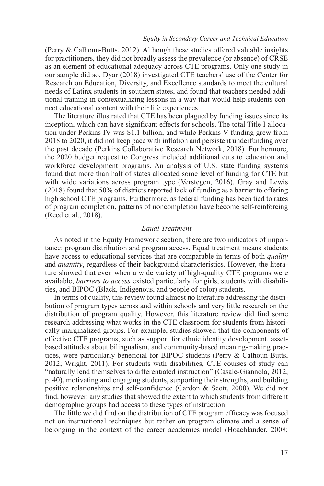(Perry & Calhoun-Butts, 2012). Although these studies offered valuable insights for practitioners, they did not broadly assess the prevalence (or absence) of CRSE as an element of educational adequacy across CTE programs. Only one study in our sample did so. Dyar (2018) investigated CTE teachers' use of the Center for Research on Education, Diversity, and Excellence standards to meet the cultural needs of Latinx students in southern states, and found that teachers needed additional training in contextualizing lessons in a way that would help students connect educational content with their life experiences.

The literature illustrated that CTE has been plagued by funding issues since its inception, which can have significant effects for schools. The total Title I allocation under Perkins IV was \$1.1 billion, and while Perkins V funding grew from 2018 to 2020, it did not keep pace with inflation and persistent underfunding over the past decade (Perkins Collaborative Research Network, 2018). Furthermore, the 2020 budget request to Congress included additional cuts to education and workforce development programs. An analysis of U.S. state funding systems found that more than half of states allocated some level of funding for CTE but with wide variations across program type (Verstegen, 2016). Gray and Lewis (2018) found that 50% of districts reported lack of funding as a barrier to offering high school CTE programs. Furthermore, as federal funding has been tied to rates of program completion, patterns of noncompletion have become self-reinforcing (Reed et al., 2018).

## *Equal Treatment*

As noted in the Equity Framework section, there are two indicators of importance: program distribution and program access. Equal treatment means students have access to educational services that are comparable in terms of both *quality* and *quantity*, regardless of their background characteristics. However, the literature showed that even when a wide variety of high-quality CTE programs were available, *barriers to access* existed particularly for girls, students with disabilities, and BIPOC (Black, Indigenous, and people of color) students.

In terms of quality, this review found almost no literature addressing the distribution of program types across and within schools and very little research on the distribution of program quality. However, this literature review did find some research addressing what works in the CTE classroom for students from historically marginalized groups. For example, studies showed that the components of effective CTE programs, such as support for ethnic identity development, assetbased attitudes about bilingualism, and community-based meaning-making practices, were particularly beneficial for BIPOC students (Perry & Calhoun-Butts, 2012; Wright, 2011). For students with disabilities, CTE courses of study can "naturally lend themselves to differentiated instruction" (Casale-Giannola, 2012, p. 40), motivating and engaging students, supporting their strengths, and building positive relationships and self-confidence (Cardon & Scott, 2000). We did not find, however, any studies that showed the extent to which students from different demographic groups had access to these types of instruction.

The little we did find on the distribution of CTE program efficacy was focused not on instructional techniques but rather on program climate and a sense of belonging in the context of the career academies model (Hoachlander, 2008;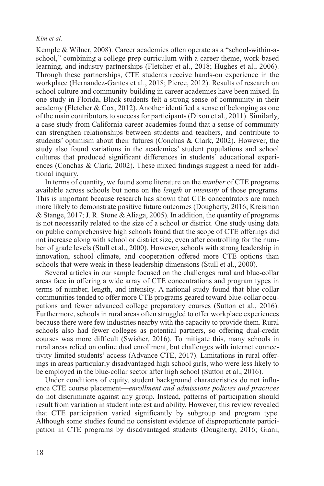Kemple & Wilner, 2008). Career academies often operate as a "school-within-aschool," combining a college prep curriculum with a career theme, work-based learning, and industry partnerships (Fletcher et al., 2018; Hughes et al., 2006). Through these partnerships, CTE students receive hands-on experience in the workplace (Hernandez-Gantes et al., 2018; Pierce, 2012). Results of research on school culture and community-building in career academies have been mixed. In one study in Florida, Black students felt a strong sense of community in their academy (Fletcher & Cox, 2012). Another identified a sense of belonging as one of the main contributors to success for participants (Dixon et al., 2011). Similarly, a case study from California career academies found that a sense of community can strengthen relationships between students and teachers, and contribute to students' optimism about their futures (Conchas & Clark, 2002). However, the study also found variations in the academies' student populations and school cultures that produced significant differences in students' educational experiences (Conchas & Clark, 2002). These mixed findings suggest a need for additional inquiry.

In terms of quantity, we found some literature on the *number* of CTE programs available across schools but none on the *length* or *intensity* of those programs. This is important because research has shown that CTE concentrators are much more likely to demonstrate positive future outcomes (Dougherty, 2016; Kreisman & Stange, 2017; J. R. Stone & Aliaga, 2005). In addition, the quantity of programs is not necessarily related to the size of a school or district. One study using data on public comprehensive high schools found that the scope of CTE offerings did not increase along with school or district size, even after controlling for the number of grade levels (Stull et al., 2000). However, schools with strong leadership in innovation, school climate, and cooperation offered more CTE options than schools that were weak in these leadership dimensions (Stull et al., 2000).

Several articles in our sample focused on the challenges rural and blue-collar areas face in offering a wide array of CTE concentrations and program types in terms of number, length, and intensity. A national study found that blue-collar communities tended to offer more CTE programs geared toward blue-collar occupations and fewer advanced college preparatory courses (Sutton et al., 2016). Furthermore, schools in rural areas often struggled to offer workplace experiences because there were few industries nearby with the capacity to provide them. Rural schools also had fewer colleges as potential partners, so offering dual-credit courses was more difficult (Swisher, 2016). To mitigate this, many schools in rural areas relied on online dual enrollment, but challenges with internet connectivity limited students' access (Advance CTE, 2017). Limitations in rural offerings in areas particularly disadvantaged high school girls, who were less likely to be employed in the blue-collar sector after high school (Sutton et al., 2016).

Under conditions of equity, student background characteristics do not influence CTE course placement—*enrollment and admissions policies and practices* do not discriminate against any group. Instead, patterns of participation should result from variation in student interest and ability. However, this review revealed that CTE participation varied significantly by subgroup and program type. Although some studies found no consistent evidence of disproportionate participation in CTE programs by disadvantaged students (Dougherty, 2016; Giani,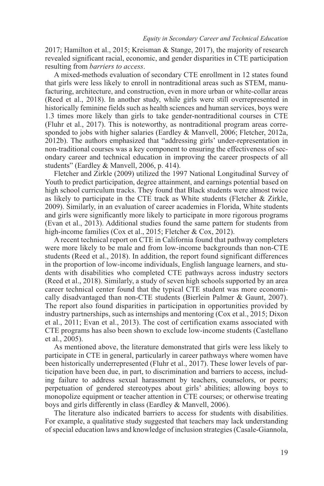2017; Hamilton et al., 2015; Kreisman & Stange, 2017), the majority of research revealed significant racial, economic, and gender disparities in CTE participation resulting from *barriers to access*.

A mixed-methods evaluation of secondary CTE enrollment in 12 states found that girls were less likely to enroll in nontraditional areas such as STEM, manufacturing, architecture, and construction, even in more urban or white-collar areas (Reed et al., 2018). In another study, while girls were still overrepresented in historically feminine fields such as health sciences and human services, boys were 1.3 times more likely than girls to take gender-nontraditional courses in CTE (Fluhr et al., 2017). This is noteworthy, as nontraditional program areas corresponded to jobs with higher salaries (Eardley & Manvell, 2006; Fletcher, 2012a, 2012b). The authors emphasized that "addressing girls' under-representation in non-traditional courses was a key component to ensuring the effectiveness of secondary career and technical education in improving the career prospects of all students" (Eardley & Manvell, 2006, p. 414).

Fletcher and Zirkle (2009) utilized the 1997 National Longitudinal Survey of Youth to predict participation, degree attainment, and earnings potential based on high school curriculum tracks. They found that Black students were almost twice as likely to participate in the CTE track as White students (Fletcher & Zirkle, 2009). Similarly, in an evaluation of career academies in Florida, White students and girls were significantly more likely to participate in more rigorous programs (Evan et al., 2013). Additional studies found the same pattern for students from high-income families (Cox et al., 2015; Fletcher & Cox, 2012).

A recent technical report on CTE in California found that pathway completers were more likely to be male and from low-income backgrounds than non-CTE students (Reed et al., 2018). In addition, the report found significant differences in the proportion of low-income individuals, English language learners, and students with disabilities who completed CTE pathways across industry sectors (Reed et al., 2018). Similarly, a study of seven high schools supported by an area career technical center found that the typical CTE student was more economically disadvantaged than non-CTE students (Bierlein Palmer & Gaunt, 2007). The report also found disparities in participation in opportunities provided by industry partnerships, such as internships and mentoring (Cox et al., 2015; Dixon et al., 2011; Evan et al., 2013). The cost of certification exams associated with CTE programs has also been shown to exclude low-income students (Castellano et al., 2005).

As mentioned above, the literature demonstrated that girls were less likely to participate in CTE in general, particularly in career pathways where women have been historically underrepresented (Fluhr et al., 2017). These lower levels of participation have been due, in part, to discrimination and barriers to access, including failure to address sexual harassment by teachers, counselors, or peers; perpetuation of gendered stereotypes about girls' abilities; allowing boys to monopolize equipment or teacher attention in CTE courses; or otherwise treating boys and girls differently in class (Eardley & Manvell, 2006).

The literature also indicated barriers to access for students with disabilities. For example, a qualitative study suggested that teachers may lack understanding of special education laws and knowledge of inclusion strategies (Casale-Giannola,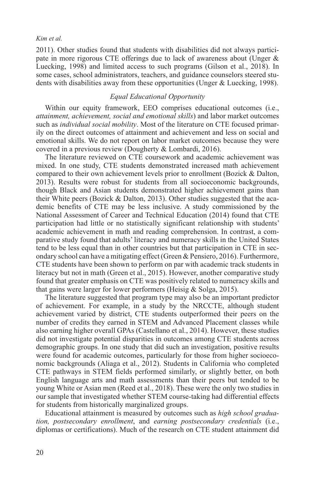2011). Other studies found that students with disabilities did not always participate in more rigorous CTE offerings due to lack of awareness about (Unger & Luecking, 1998) and limited access to such programs (Gilson et al., 2018). In some cases, school administrators, teachers, and guidance counselors steered students with disabilities away from these opportunities (Unger & Luecking, 1998).

## *Equal Educational Opportunity*

Within our equity framework, EEO comprises educational outcomes (i.e., *attainment, achievement, social and emotional skills*) and labor market outcomes such as *individual social mobility*. Most of the literature on CTE focused primarily on the direct outcomes of attainment and achievement and less on social and emotional skills. We do not report on labor market outcomes because they were covered in a previous review (Dougherty & Lombardi, 2016).

The literature reviewed on CTE coursework and academic achievement was mixed. In one study, CTE students demonstrated increased math achievement compared to their own achievement levels prior to enrollment (Bozick & Dalton, 2013). Results were robust for students from all socioeconomic backgrounds, though Black and Asian students demonstrated higher achievement gains than their White peers (Bozick & Dalton, 2013). Other studies suggested that the academic benefits of CTE may be less inclusive. A study commissioned by the National Assessment of Career and Technical Education (2014) found that CTE participation had little or no statistically significant relationship with students' academic achievement in math and reading comprehension. In contrast, a comparative study found that adults' literacy and numeracy skills in the United States tend to be less equal than in other countries but that participation in CTE in secondary school can have a mitigating effect (Green & Pensiero, 2016). Furthermore, CTE students have been shown to perform on par with academic track students in literacy but not in math (Green et al., 2015). However, another comparative study found that greater emphasis on CTE was positively related to numeracy skills and that gains were larger for lower performers (Heisig & Solga, 2015).

The literature suggested that program type may also be an important predictor of achievement. For example, in a study by the NRCCTE, although student achievement varied by district, CTE students outperformed their peers on the number of credits they earned in STEM and Advanced Placement classes while also earning higher overall GPAs (Castellano et al., 2014). However, these studies did not investigate potential disparities in outcomes among CTE students across demographic groups. In one study that did such an investigation, positive results were found for academic outcomes, particularly for those from higher socioeconomic backgrounds (Aliaga et al., 2012). Students in California who completed CTE pathways in STEM fields performed similarly, or slightly better, on both English language arts and math assessments than their peers but tended to be young White or Asian men (Reed et al., 2018). These were the only two studies in our sample that investigated whether STEM course-taking had differential effects for students from historically marginalized groups.

Educational attainment is measured by outcomes such as *high school graduation, postsecondary enrollment*, and *earning postsecondary credentials* (i.e., diplomas or certifications). Much of the research on CTE student attainment did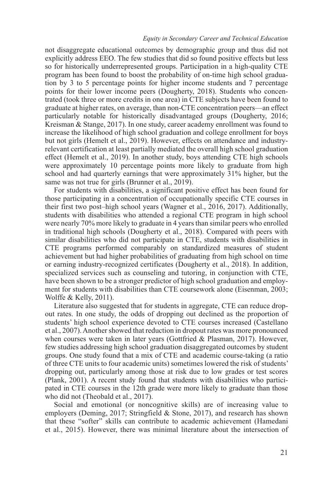#### *Equity in Secondary Career and Technical Education*

not disaggregate educational outcomes by demographic group and thus did not explicitly address EEO. The few studies that did so found positive effects but less so for historically underrepresented groups. Participation in a high-quality CTE program has been found to boost the probability of on-time high school graduation by 3 to 5 percentage points for higher income students and 7 percentage points for their lower income peers (Dougherty, 2018). Students who concentrated (took three or more credits in one area) in CTE subjects have been found to graduate at higher rates, on average, than non-CTE concentration peers—an effect particularly notable for historically disadvantaged groups (Dougherty, 2016; Kreisman & Stange, 2017). In one study, career academy enrollment was found to increase the likelihood of high school graduation and college enrollment for boys but not girls (Hemelt et al., 2019). However, effects on attendance and industryrelevant certification at least partially mediated the overall high school graduation effect (Hemelt et al., 2019). In another study, boys attending CTE high schools were approximately 10 percentage points more likely to graduate from high school and had quarterly earnings that were approximately 31% higher, but the same was not true for girls (Brunner et al., 2019).

For students with disabilities, a significant positive effect has been found for those participating in a concentration of occupationally specific CTE courses in their first two post–high school years (Wagner et al., 2016, 2017). Additionally, students with disabilities who attended a regional CTE program in high school were nearly 70% more likely to graduate in 4 years than similar peers who enrolled in traditional high schools (Dougherty et al., 2018). Compared with peers with similar disabilities who did not participate in CTE, students with disabilities in CTE programs performed comparably on standardized measures of student achievement but had higher probabilities of graduating from high school on time or earning industry-recognized certificates (Dougherty et al., 2018). In addition, specialized services such as counseling and tutoring, in conjunction with CTE, have been shown to be a stronger predictor of high school graduation and employment for students with disabilities than CTE coursework alone (Eisenman, 2003; Wolffe & Kelly, 2011).

Literature also suggested that for students in aggregate, CTE can reduce dropout rates. In one study, the odds of dropping out declined as the proportion of students' high school experience devoted to CTE courses increased (Castellano et al., 2007). Another showed that reduction in dropout rates was more pronounced when courses were taken in later years (Gottfried  $&$  Plasman, 2017). However, few studies addressing high school graduation disaggregated outcomes by student groups. One study found that a mix of CTE and academic course-taking (a ratio of three CTE units to four academic units) sometimes lowered the risk of students' dropping out, particularly among those at risk due to low grades or test scores (Plank, 2001). A recent study found that students with disabilities who participated in CTE courses in the 12th grade were more likely to graduate than those who did not (Theobald et al., 2017).

Social and emotional (or noncognitive skills) are of increasing value to employers (Deming, 2017; Stringfield & Stone, 2017), and research has shown that these "softer" skills can contribute to academic achievement (Hamedani et al., 2015). However, there was minimal literature about the intersection of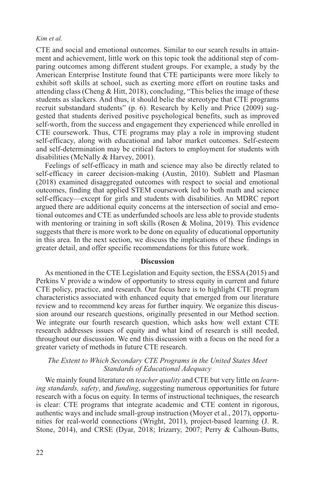CTE and social and emotional outcomes. Similar to our search results in attainment and achievement, little work on this topic took the additional step of comparing outcomes among different student groups. For example, a study by the American Enterprise Institute found that CTE participants were more likely to exhibit soft skills at school, such as exerting more effort on routine tasks and attending class (Cheng & Hitt, 2018), concluding, "This belies the image of these students as slackers. And thus, it should belie the stereotype that CTE programs recruit substandard students" (p. 6). Research by Kelly and Price (2009) suggested that students derived positive psychological benefits, such as improved self-worth, from the success and engagement they experienced while enrolled in CTE coursework. Thus, CTE programs may play a role in improving student self-efficacy, along with educational and labor market outcomes. Self-esteem and self-determination may be critical factors to employment for students with disabilities (McNally & Harvey, 2001).

Feelings of self-efficacy in math and science may also be directly related to self-efficacy in career decision-making (Austin, 2010). Sublett and Plasman (2018) examined disaggregated outcomes with respect to social and emotional outcomes, finding that applied STEM coursework led to both math and science self-efficacy—except for girls and students with disabilities. An MDRC report argued there are additional equity concerns at the intersection of social and emotional outcomes and CTE as underfunded schools are less able to provide students with mentoring or training in soft skills (Rosen & Molina, 2019). This evidence suggests that there is more work to be done on equality of educational opportunity in this area. In the next section, we discuss the implications of these findings in greater detail, and offer specific recommendations for this future work.

#### **Discussion**

As mentioned in the CTE Legislation and Equity section, the ESSA (2015) and Perkins V provide a window of opportunity to stress equity in current and future CTE policy, practice, and research. Our focus here is to highlight CTE program characteristics associated with enhanced equity that emerged from our literature review and to recommend key areas for further inquiry. We organize this discussion around our research questions, originally presented in our Method section. We integrate our fourth research question, which asks how well extant CTE research addresses issues of equity and what kind of research is still needed, throughout our discussion. We end this discussion with a focus on the need for a greater variety of methods in future CTE research.

# *The Extent to Which Secondary CTE Programs in the United States Meet Standards of Educational Adequacy*

We mainly found literature on *teacher quality* and CTE but very little on *learning standards, safety*, and *funding*, suggesting numerous opportunities for future research with a focus on equity. In terms of instructional techniques, the research is clear: CTE programs that integrate academic and CTE content in rigorous, authentic ways and include small-group instruction (Moyer et al., 2017), opportunities for real-world connections (Wright, 2011), project-based learning (J. R. Stone, 2014), and CRSE (Dyar, 2018; Irizarry, 2007; Perry & Calhoun-Butts,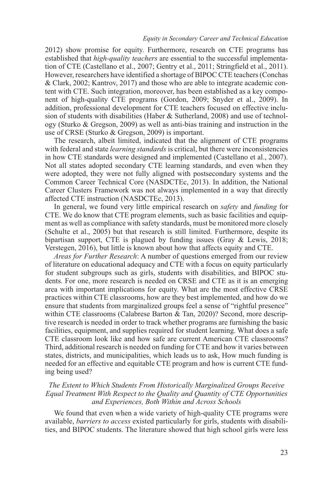2012) show promise for equity. Furthermore, research on CTE programs has established that *high-quality teachers* are essential to the successful implementation of CTE (Castellano et al., 2007; Gentry et al., 2011; Stringfield et al., 2011). However, researchers have identified a shortage of BIPOC CTE teachers (Conchas & Clark, 2002; Kantrov, 2017) and those who are able to integrate academic content with CTE. Such integration, moreover, has been established as a key component of high-quality CTE programs (Gordon, 2009; Snyder et al., 2009). In addition, professional development for CTE teachers focused on effective inclusion of students with disabilities (Haber & Sutherland, 2008) and use of technology (Sturko & Gregson, 2009) as well as anti-bias training and instruction in the use of CRSE (Sturko & Gregson, 2009) is important.

The research, albeit limited, indicated that the alignment of CTE programs with federal and state *learning standards* is critical, but there were inconsistencies in how CTE standards were designed and implemented (Castellano et al., 2007). Not all states adopted secondary CTE learning standards, and even when they were adopted, they were not fully aligned with postsecondary systems and the Common Career Technical Core (NASDCTEc, 2013). In addition, the National Career Clusters Framework was not always implemented in a way that directly affected CTE instruction (NASDCTEc, 2013).

In general, we found very little empirical research on *safety* and *funding* for CTE. We do know that CTE program elements, such as basic facilities and equipment as well as compliance with safety standards, must be monitored more closely (Schulte et al., 2005) but that research is still limited. Furthermore, despite its bipartisan support, CTE is plagued by funding issues (Gray & Lewis, 2018; Verstegen, 2016), but little is known about how that affects equity and CTE.

*Areas for Further Research*: A number of questions emerged from our review of literature on educational adequacy and CTE with a focus on equity particularly for student subgroups such as girls, students with disabilities, and BIPOC students. For one, more research is needed on CRSE and CTE as it is an emerging area with important implications for equity. What are the most effective CRSE practices within CTE classrooms, how are they best implemented, and how do we ensure that students from marginalized groups feel a sense of "rightful presence" within CTE classrooms (Calabrese Barton & Tan, 2020)? Second, more descriptive research is needed in order to track whether programs are furnishing the basic facilities, equipment, and supplies required for student learning. What does a safe CTE classroom look like and how safe are current American CTE classrooms? Third, additional research is needed on funding for CTE and how it varies between states, districts, and municipalities, which leads us to ask, How much funding is needed for an effective and equitable CTE program and how is current CTE funding being used?

# *The Extent to Which Students From Historically Marginalized Groups Receive Equal Treatment With Respect to the Quality and Quantity of CTE Opportunities and Experiences, Both Within and Across Schools*

We found that even when a wide variety of high-quality CTE programs were available, *barriers to access* existed particularly for girls, students with disabilities, and BIPOC students. The literature showed that high school girls were less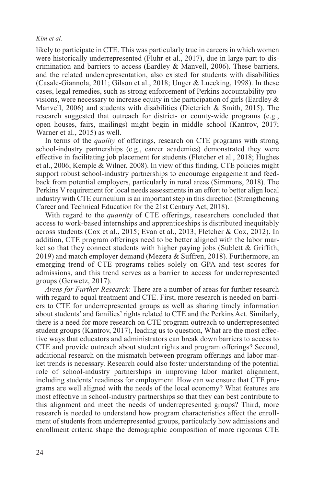likely to participate in CTE. This was particularly true in careers in which women were historically underrepresented (Fluhr et al., 2017), due in large part to discrimination and barriers to access (Eardley & Manvell, 2006). These barriers, and the related underrepresentation, also existed for students with disabilities (Casale-Giannola, 2011; Gilson et al., 2018; Unger & Luecking, 1998). In these cases, legal remedies, such as strong enforcement of Perkins accountability provisions, were necessary to increase equity in the participation of girls (Eardley  $\&$ Manvell, 2006) and students with disabilities (Dieterich & Smith, 2015). The research suggested that outreach for district- or county-wide programs (e.g., open houses, fairs, mailings) might begin in middle school (Kantrov, 2017; Warner et al., 2015) as well.

In terms of the *quality* of offerings, research on CTE programs with strong school-industry partnerships (e.g., career academies) demonstrated they were effective in facilitating job placement for students (Fletcher et al., 2018; Hughes et al., 2006; Kemple & Wilner, 2008). In view of this finding, CTE policies might support robust school-industry partnerships to encourage engagement and feedback from potential employers, particularly in rural areas (Simmons, 2018). The Perkins V requirement for local needs assessments in an effort to better align local industry with CTE curriculum is an important step in this direction (Strengthening Career and Technical Education for the 21st Century Act, 2018).

With regard to the *quantity* of CTE offerings, researchers concluded that access to work-based internships and apprenticeships is distributed inequitably across students (Cox et al., 2015; Evan et al., 2013; Fletcher & Cox, 2012). In addition, CTE program offerings need to be better aligned with the labor market so that they connect students with higher paying jobs (Sublett & Griffith, 2019) and match employer demand (Mezera & Suffren, 2018). Furthermore, an emerging trend of CTE programs relies solely on GPA and test scores for admissions, and this trend serves as a barrier to access for underrepresented groups (Gerwetz, 2017).

*Areas for Further Research*: There are a number of areas for further research with regard to equal treatment and CTE. First, more research is needed on barriers to CTE for underrepresented groups as well as sharing timely information about students' and families' rights related to CTE and the Perkins Act. Similarly, there is a need for more research on CTE program outreach to underrepresented student groups (Kantrov, 2017), leading us to question, What are the most effective ways that educators and administrators can break down barriers to access to CTE and provide outreach about student rights and program offerings? Second, additional research on the mismatch between program offerings and labor market trends is necessary. Research could also foster understanding of the potential role of school-industry partnerships in improving labor market alignment, including students' readiness for employment. How can we ensure that CTE programs are well aligned with the needs of the local economy? What features are most effective in school-industry partnerships so that they can best contribute to this alignment and meet the needs of underrepresented groups? Third, more research is needed to understand how program characteristics affect the enrollment of students from underrepresented groups, particularly how admissions and enrollment criteria shape the demographic composition of more rigorous CTE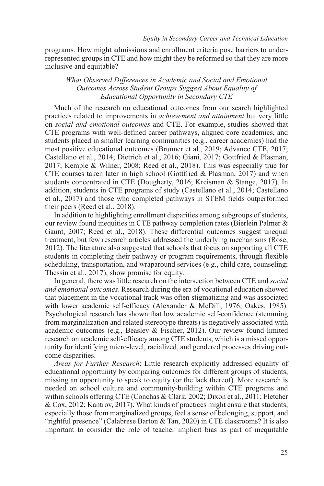programs. How might admissions and enrollment criteria pose barriers to underrepresented groups in CTE and how might they be reformed so that they are more inclusive and equitable?

# *What Observed Differences in Academic and Social and Emotional Outcomes Across Student Groups Suggest About Equality of Educational Opportunity in Secondary CTE*

Much of the research on educational outcomes from our search highlighted practices related to improvements in *achievement and attainment* but very little on *social and emotional outcomes* and CTE. For example, studies showed that CTE programs with well-defined career pathways, aligned core academics, and students placed in smaller learning communities (e.g., career academies) had the most positive educational outcomes (Brunner et al., 2019; Advance CTE, 2017; Castellano et al., 2014; Dietrich et al., 2016; Giani, 2017; Gottfried & Plasman, 2017; Kemple & Wilner, 2008; Reed et al., 2018). This was especially true for CTE courses taken later in high school (Gottfried & Plasman, 2017) and when students concentrated in CTE (Dougherty, 2016; Kreisman & Stange, 2017). In addition, students in CTE programs of study (Castellano et al., 2014; Castellano et al., 2017) and those who completed pathways in STEM fields outperformed their peers (Reed et al., 2018).

In addition to highlighting enrollment disparities among subgroups of students, our review found inequities in CTE pathway completion rates (Bierlein Palmer & Gaunt, 2007; Reed et al., 2018). These differential outcomes suggest unequal treatment, but few research articles addressed the underlying mechanisms (Rose, 2012). The literature also suggested that schools that focus on supporting all CTE students in completing their pathway or program requirements, through flexible scheduling, transportation, and wraparound services (e.g., child care, counseling; Thessin et al., 2017), show promise for equity.

In general, there was little research on the intersection between CTE and *social and emotional outcomes*. Research during the era of vocational education showed that placement in the vocational track was often stigmatizing and was associated with lower academic self-efficacy (Alexander & McDill, 1976; Oakes, 1985). Psychological research has shown that low academic self-confidence (stemming from marginalization and related stereotype threats) is negatively associated with academic outcomes (e.g., Beasley & Fischer, 2012). Our review found limited research on academic self-efficacy among CTE students, which is a missed opportunity for identifying micro-level, racialized, and gendered processes driving outcome disparities.

*Areas for Further Research*: Little research explicitly addressed equality of educational opportunity by comparing outcomes for different groups of students, missing an opportunity to speak to equity (or the lack thereof). More research is needed on school culture and community-building within CTE programs and within schools offering CTE (Conchas & Clark, 2002; Dixon et al., 2011; Fletcher & Cox, 2012; Kantrov, 2017). What kinds of practices might ensure that students, especially those from marginalized groups, feel a sense of belonging, support, and "rightful presence" (Calabrese Barton & Tan, 2020) in CTE classrooms? It is also important to consider the role of teacher implicit bias as part of inequitable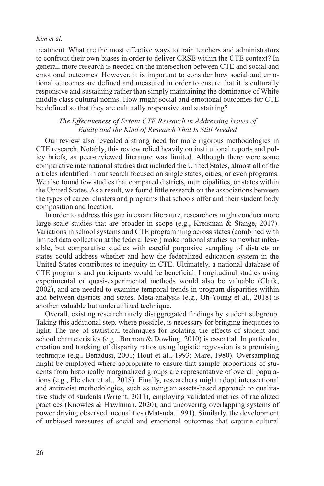treatment. What are the most effective ways to train teachers and administrators to confront their own biases in order to deliver CRSE within the CTE context? In general, more research is needed on the intersection between CTE and social and emotional outcomes. However, it is important to consider how social and emotional outcomes are defined and measured in order to ensure that it is culturally responsive and sustaining rather than simply maintaining the dominance of White middle class cultural norms. How might social and emotional outcomes for CTE be defined so that they are culturally responsive and sustaining?

# *The Effectiveness of Extant CTE Research in Addressing Issues of Equity and the Kind of Research That Is Still Needed*

Our review also revealed a strong need for more rigorous methodologies in CTE research. Notably, this review relied heavily on institutional reports and policy briefs, as peer-reviewed literature was limited. Although there were some comparative international studies that included the United States, almost all of the articles identified in our search focused on single states, cities, or even programs. We also found few studies that compared districts, municipalities, or states within the United States. As a result, we found little research on the associations between the types of career clusters and programs that schools offer and their student body composition and location.

In order to address this gap in extant literature, researchers might conduct more large-scale studies that are broader in scope (e.g., Kreisman & Stange, 2017). Variations in school systems and CTE programming across states (combined with limited data collection at the federal level) make national studies somewhat infeasible, but comparative studies with careful purposive sampling of districts or states could address whether and how the federalized education system in the United States contributes to inequity in CTE. Ultimately, a national database of CTE programs and participants would be beneficial. Longitudinal studies using experimental or quasi-experimental methods would also be valuable (Clark, 2002), and are needed to examine temporal trends in program disparities within and between districts and states. Meta-analysis (e.g., Oh-Young et al., 2018) is another valuable but underutilized technique.

Overall, existing research rarely disaggregated findings by student subgroup. Taking this additional step, where possible, is necessary for bringing inequities to light. The use of statistical techniques for isolating the effects of student and school characteristics (e.g., Borman & Dowling, 2010) is essential. In particular, creation and tracking of disparity ratios using logistic regression is a promising technique (e.g., Benadusi, 2001; Hout et al., 1993; Mare, 1980). Oversampling might be employed where appropriate to ensure that sample proportions of students from historically marginalized groups are representative of overall populations (e.g., Fletcher et al., 2018). Finally, researchers might adopt intersectional and antiracist methodologies, such as using an assets-based approach to qualitative study of students (Wright, 2011), employing validated metrics of racialized practices (Knowles & Hawkman, 2020), and uncovering overlapping systems of power driving observed inequalities (Matsuda, 1991). Similarly, the development of unbiased measures of social and emotional outcomes that capture cultural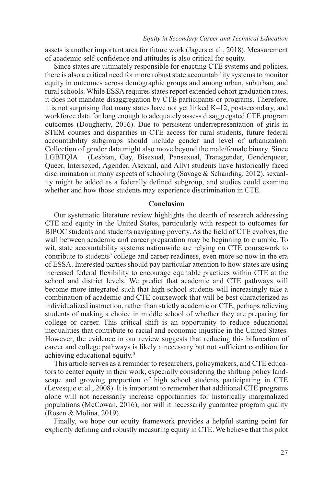assets is another important area for future work (Jagers et al., 2018). Measurement of academic self-confidence and attitudes is also critical for equity.

Since states are ultimately responsible for enacting CTE systems and policies, there is also a critical need for more robust state accountability systems to monitor equity in outcomes across demographic groups and among urban, suburban, and rural schools. While ESSA requires states report extended cohort graduation rates, it does not mandate disaggregation by CTE participants or programs. Therefore, it is not surprising that many states have not yet linked K–12, postsecondary, and workforce data for long enough to adequately assess disaggregated CTE program outcomes (Dougherty, 2016). Due to persistent underrepresentation of girls in STEM courses and disparities in CTE access for rural students, future federal accountability subgroups should include gender and level of urbanization. Collection of gender data might also move beyond the male/female binary. Since LGBTQIA+ (Lesbian, Gay, Bisexual, Pansexual, Transgender, Genderqueer, Queer, Intersexed, Agender, Asexual, and Ally) students have historically faced discrimination in many aspects of schooling (Savage & Schanding, 2012), sexuality might be added as a federally defined subgroup, and studies could examine whether and how those students may experience discrimination in CTE.

## **Conclusion**

Our systematic literature review highlights the dearth of research addressing CTE and equity in the United States, particularly with respect to outcomes for BIPOC students and students navigating poverty. As the field of CTE evolves, the wall between academic and career preparation may be beginning to crumble. To wit, state accountability systems nationwide are relying on CTE coursework to contribute to students' college and career readiness, even more so now in the era of ESSA. Interested parties should pay particular attention to how states are using increased federal flexibility to encourage equitable practices within CTE at the school and district levels. We predict that academic and CTE pathways will become more integrated such that high school students will increasingly take a combination of academic and CTE coursework that will be best characterized as individualized instruction, rather than strictly academic or CTE, perhaps relieving students of making a choice in middle school of whether they are preparing for college or career. This critical shift is an opportunity to reduce educational inequalities that contribute to racial and economic injustice in the United States. However, the evidence in our review suggests that reducing this bifurcation of career and college pathways is likely a necessary but not sufficient condition for achieving educational equity.9

This article serves as a reminder to researchers, policymakers, and CTE educators to center equity in their work, especially considering the shifting policy landscape and growing proportion of high school students participating in CTE (Levesque et al., 2008). It is important to remember that additional CTE programs alone will not necessarily increase opportunities for historically marginalized populations (McCowan, 2016), nor will it necessarily guarantee program quality (Rosen & Molina, 2019).

Finally, we hope our equity framework provides a helpful starting point for explicitly defining and robustly measuring equity in CTE. We believe that this pilot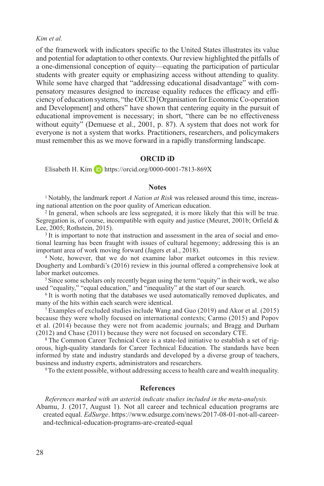of the framework with indicators specific to the United States illustrates its value and potential for adaptation to other contexts. Our review highlighted the pitfalls of a one-dimensional conception of equity—equating the participation of particular students with greater equity or emphasizing access without attending to quality. While some have charged that "addressing educational disadvantage" with compensatory measures designed to increase equality reduces the efficacy and efficiency of education systems, "the OECD [Organisation for Economic Co-operation and Development] and others" have shown that centering equity in the pursuit of educational improvement is necessary; in short, "there can be no effectiveness without equity" (Demuese et al., 2001, p. 87). A system that does not work for everyone is not a system that works. Practitioners, researchers, and policymakers must remember this as we move forward in a rapidly transforming landscape.

## **ORCID iD**

Elisabeth H. Kim  $\Box$  <https://orcid.org/0000-0001-7813-869X>

## **Notes**

<sup>1</sup> Notably, the landmark report *A Nation at Risk* was released around this time, increasing national attention on the poor quality of American education.

<sup>2</sup> In general, when schools are less segregated, it is more likely that this will be true. Segregation is, of course, incompatible with equity and justice (Meuret, 2001b; Orfield & Lee, 2005; Rothstein, 2015).

<sup>3</sup> It is important to note that instruction and assessment in the area of social and emotional learning has been fraught with issues of cultural hegemony; addressing this is an important area of work moving forward (Jagers et al., 2018).

<sup>4</sup> Note, however, that we do not examine labor market outcomes in this review. Dougherty and Lombardi's (2016) review in this journal offered a comprehensive look at labor market outcomes.

<sup>5</sup> Since some scholars only recently began using the term "equity" in their work, we also used "equality," "equal education," and "inequality" at the start of our search.

<sup>6</sup> It is worth noting that the databases we used automatically removed duplicates, and many of the hits within each search were identical.

<sup>7</sup> Examples of excluded studies include Wang and Guo (2019) and Akor et al. (2015) because they were wholly focused on international contexts; Carmo (2015) and Popov et al. (2014) because they were not from academic journals; and Bragg and Durham (2012) and Chase (2011) because they were not focused on secondary CTE.

<sup>8</sup> The Common Career Technical Core is a state-led initiative to establish a set of rigorous, high-quality standards for Career Technical Education. The standards have been informed by state and industry standards and developed by a diverse group of teachers, business and industry experts, administrators and researchers.

9To the extent possible, without addressing access to health care and wealth inequality.

#### **References**

*References marked with an asterisk indicate studies included in the meta-analysis.*

Abamu, J. (2017, August 1). Not all career and technical education programs are created equal. *EdSurge*. [https://www.edsurge.com/news/2017-08-01-not-all-career](https://www.edsurge.com/news/2017-08-01-not-all-career-and-technical-education-programs-are-created-equal)[and-technical-education-programs-are-created-equal](https://www.edsurge.com/news/2017-08-01-not-all-career-and-technical-education-programs-are-created-equal)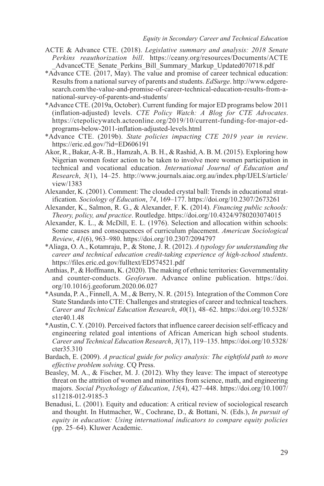- ACTE & Advance CTE. (2018). *Legislative summary and analysis: 2018 Senate Perkins reauthorization bill*. [https://ceany.org/resources/Documents/ACTE](https://ceany.org/resources/Documents/ACTE_AdvanceCTE_Senate_Perkins_Bill_Summary_Markup_Updated070718.pdf) AdvanceCTE\_Senate\_Perkins\_Bill\_Summary\_Markup\_Updated070718.pdf
- \*Advance CTE. (2017, May). The value and promise of career technical education: Results from a national survey of parents and students. *EdSurge*. [http://www.edgere](http://www.edgeresearch.com/the-value-and-promise-of-career-technical-education-results-from-a-national-survey-of-parents-and-students/)[search.com/the-value-and-promise-of-career-technical-education-results-from-a](http://www.edgeresearch.com/the-value-and-promise-of-career-technical-education-results-from-a-national-survey-of-parents-and-students/)[national-survey-of-parents-and-students/](http://www.edgeresearch.com/the-value-and-promise-of-career-technical-education-results-from-a-national-survey-of-parents-and-students/)
- \*Advance CTE. (2019a, October). Current funding for major ED programs below 2011 (inflation-adjusted) levels. *CTE Policy Watch: A Blog for CTE Advocates*. [https://ctepolicywatch.acteonline.org/2019/10/current-funding-for-major-ed](https://ctepolicywatch.acteonline.org/2019/10/current-funding-for-major-ed-programs-below-2011-inflation-adjusted-levels.html)[programs-below-2011-inflation-adjusted-levels.html](https://ctepolicywatch.acteonline.org/2019/10/current-funding-for-major-ed-programs-below-2011-inflation-adjusted-levels.html)
- \*Advance CTE. (2019b). *State policies impacting CTE 2019 year in review*. <https://eric.ed.gov/?id=ED606191>
- Akor, R., Bakar, A-R. B., Hamzah, A. B. H., & Rashid, A. B. M. (2015). Exploring how Nigerian women foster action to be taken to involve more women participation in technical and vocational education. *International Journal of Education and Research*, *3*(1), 14–25. [http://www.journals.aiac.org.au/index.php/IJELS/article/](http://www.journals.aiac.org.au/index.php/IJELS/article/view/1383) [view/1383](http://www.journals.aiac.org.au/index.php/IJELS/article/view/1383)
- Alexander, K. (2001). Comment: The clouded crystal ball: Trends in educational stratification. *Sociology of Education*, *74*, 169–177. <https://doi.org/10.2307/2673261>
- Alexander, K., Salmon, R. G., & Alexander, F. K. (2014). *Financing public schools: Theory, policy, and practice*. Routledge. <https://doi.org/10.4324/9780203074015>
- Alexander, K. L., & McDill, E. L. (1976). Selection and allocation within schools: Some causes and consequences of curriculum placement. *American Sociological Review*, *41*(6), 963–980. <https://doi.org/10.2307/2094797>
- \*Aliaga, O. A., Kotamraju, P., & Stone, J. R. (2012). *A typology for understanding the career and technical education credit-taking experience of high-school students*. <https://files.eric.ed.gov/fulltext/ED574521.pdf>
- Anthias, P., & Hoffmann, K. (2020). The making of ethnic territories: Governmentality and counter-conducts. *Geoforum*. Advance online publication. [https://doi.](https://doi.org/10.1016/j.geoforum.2020.06.027) [org/10.1016/j.geoforum.2020.06.027](https://doi.org/10.1016/j.geoforum.2020.06.027)
- \*Asunda, P. A., Finnell, A. M., & Berry, N. R. (2015). Integration of the Common Core State Standards into CTE: Challenges and strategies of career and technical teachers. *Career and Technical Education Research*, *40*(1), 48–62. [https://doi.org/10.5328/](https://doi.org/10.5328/cter40.1.48) [cter40.1.48](https://doi.org/10.5328/cter40.1.48)
- \*Austin, C. Y. (2010). Perceived factors that influence career decision self-efficacy and engineering related goal intentions of African American high school students. *Career and Technical Education Research*, *3*(17), 119–135. [https://doi.org/10.5328/](https://doi.org/10.5328/cter35.310) [cter35.310](https://doi.org/10.5328/cter35.310)
- Bardach, E. (2009). *A practical guide for policy analysis: The eightfold path to more effective problem solving*. CQ Press.
- Beasley, M. A., & Fischer, M. J. (2012). Why they leave: The impact of stereotype threat on the attrition of women and minorities from science, math, and engineering majors. *Social Psychology of Education*, *15*(4), 427–448. [https://doi.org/10.1007/](https://doi.org/10.1007/s11218-012-9185-3) [s11218-012-9185-3](https://doi.org/10.1007/s11218-012-9185-3)
- Benadusi, L. (2001). Equity and education: A critical review of sociological research and thought. In Hutmacher, W., Cochrane, D., & Bottani, N. (Eds.), *In pursuit of equity in education: Using international indicators to compare equity policies* (pp. 25–64). Kluwer Academic.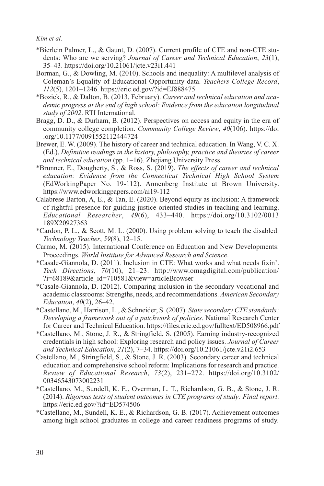- \*Bierlein Palmer, L., & Gaunt, D. (2007). Current profile of CTE and non-CTE students: Who are we serving? *Journal of Career and Technical Education*, *23*(1), 35–43. <https://doi.org/10.21061/jcte.v23i1.441>
- Borman, G., & Dowling, M. (2010). Schools and inequality: A multilevel analysis of Coleman's Equality of Educational Opportunity data. *Teachers College Record*, *112*(5), 1201–1246.<https://eric.ed.gov/?id=EJ888475>
- \*Bozick, R., & Dalton, B. (2013, February). *Career and technical education and academic progress at the end of high school: Evidence from the education longitudinal study of 2002*. RTI International.
- Bragg, D. D., & Durham, B. (2012). Perspectives on access and equity in the era of community college completion. *Community College Review*, *40*(106). [https://doi](https://doi.org/10.1177/0091552112444724) [.org/10.1177/0091552112444724](https://doi.org/10.1177/0091552112444724)
- Brewer, E. W. (2009). The history of career and technical education. In Wang, V. C. X. (Ed.), *Definitive readings in the history, philosophy, practice and theories of career and technical education* (pp. 1–16). Zhejiang University Press.
- \*Brunner, E., Dougherty, S., & Ross, S. (2019). *The effects of career and technical education: Evidence from the Connecticut Technical High School System* (EdWorkingPaper No. 19-112). Annenberg Institute at Brown University. <https://www.edworkingpapers.com/ai19-112>
- Calabrese Barton, A, E., & Tan, E. (2020). Beyond equity as inclusion: A framework of rightful presence for guiding justice-oriented studies in teaching and learning. *Educational Researcher*, *49*(6), 433–440. [https://doi.org/10.3102/0013](https://doi.org/10.3102/0013189X20927363) [189X20927363](https://doi.org/10.3102/0013189X20927363)
- \*Cardon, P. L., & Scott, M. L. (2000). Using problem solving to teach the disabled. *Technology Teacher*, *59*(8), 12–15.
- Carmo, M. (2015). International Conference on Education and New Developments: Proceedings. *World Institute for Advanced Research and Science*.
- \*Casale-Giannola, D. (2011). Inclusion in CTE: What works and what needs fixin'. *Tech Directions*, *70*(10), 21–23. [http://www.omagdigital.com/publication/](http://www.omagdigital.com/publication/?i=68189&article_id=710581&view=articleBrowser) [?i=68189&article\\_id=710581&view=articleBrowser](http://www.omagdigital.com/publication/?i=68189&article_id=710581&view=articleBrowser)
- \*Casale-Giannola, D. (2012). Comparing inclusion in the secondary vocational and academic classrooms: Strengths, needs, and recommendations. *American Secondary Education*, *40*(2), 26–42.
- \*Castellano, M., Harrison, L., & Schneider, S. (2007). *State secondary CTE standards: Developing a framework out of a patchwork of policies*. National Research Center for Career and Technical Education.<https://files.eric.ed.gov/fulltext/ED508966.pdf>
- \*Castellano, M., Stone, J. R., & Stringfield, S. (2005). Earning industry-recognized credentials in high school: Exploring research and policy issues. *Journal of Career and Technical Education*, *21*(2), 7–34.<https://doi.org/10.21061/jcte.v21i2.653>
- Castellano, M., Stringfield, S., & Stone, J. R. (2003). Secondary career and technical education and comprehensive school reform: Implications for research and practice. *Review of Educational Research*, *73*(2), 231–272. [https://doi.org/10.3102/](https://doi.org/10.3102/00346543073002231) [00346543073002231](https://doi.org/10.3102/00346543073002231)
- \*Castellano, M., Sundell, K. E., Overman, L. T., Richardson, G. B., & Stone, J. R. (2014). *Rigorous tests of student outcomes in CTE programs of study: Final report*. <https://eric.ed.gov/?id=ED574506>
- \*Castellano, M., Sundell, K. E., & Richardson, G. B. (2017). Achievement outcomes among high school graduates in college and career readiness programs of study.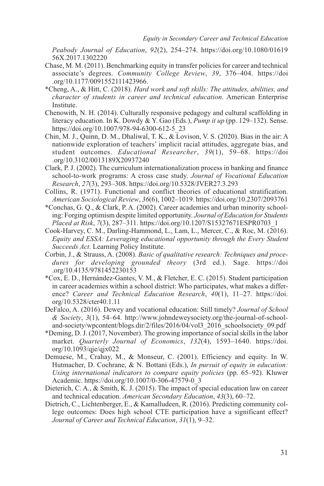*Peabody Journal of Education*, *92*(2), 254–274. [https://doi.org/10.1080/01619](https://doi.org/10.1080/0161956X.2017.1302220) [56X.2017.1302220](https://doi.org/10.1080/0161956X.2017.1302220)

- Chase, M. M. (2011). Benchmarking equity in transfer policies for career and technical associate's degrees. *Community College Review*, *39*, 376–404. [https://doi](https://doi.org/10.1177/0091552111423966) [.org/10.1177/0091552111423966](https://doi.org/10.1177/0091552111423966).
- \*Cheng, A., & Hitt, C. (2018). *Hard work and soft skills: The attitudes, abilities, and character of students in career and technical education*. American Enterprise Institute.
- Chenowith, N. H. (2014). Culturally responsive pedagogy and cultural scaffolding in literacy education. In K. Dowdy & Y. Gao (Eds.), *Pump it up* (pp. 129–132). Sense. [https://doi.org/10.1007/978-94-6300-612-5\\_23](https://doi.org/10.1007/978-94-6300-612-5_23)
- Chin, M. J., Quinn, D. M., Dhaliwal, T. K., & Lovison, V. S. (2020). Bias in the air: A nationwide exploration of teachers' implicit racial attitudes, aggregate bias, and student outcomes. *Educational Researcher*, *39*(1), 59–68. [https://doi](https://doi.org/10.3102/0013189X20937240) [.org/10.3102/0013189X20937240](https://doi.org/10.3102/0013189X20937240)
- Clark, P. J. (2002). The curriculum internationalization process in banking and finance school-to-work programs: A cross case study. *Journal of Vocational Education Research*, *27*(3), 293–308.<https://doi.org/10.5328/JVER27.3.293>
- Collins, R. (1971). Functional and conflict theories of educational stratification. *American Sociological Review*, *36*(6), 1002–1019.<https://doi.org/10.2307/2093761>
- \*Conchas, G. Q., & Clark, P. A. (2002). Career academies and urban minority schooling: Forging optimism despite limited opportunity. *Journal of Education for Students Placed at Risk*, *7*(3), 287–311. [https://doi.org/10.1207/S15327671ESPR0703\\_1](https://doi.org/10.1207/S15327671ESPR0703_1)
- Cook-Harvey, C. M., Darling-Hammond, L., Lam, L., Mercer, C., & Roc, M. (2016). *Equity and ESSA: Leveraging educational opportunity through the Every Student Succeeds Act*. Learning Policy Institute.
- Corbin, J., & Strauss, A. (2008). *Basic of qualitative research: Techniques and procedures for developing grounded theory* (3rd ed.). Sage. [https://doi](https://doi.org/10.4135/9781452230153) [.org/10.4135/9781452230153](https://doi.org/10.4135/9781452230153)
- \*Cox, E. D., Hernández-Gantes, V. M., & Fletcher, E. C. (2015). Student participation in career academies within a school district: Who participates, what makes a difference? *Career and Technical Education Research*, *40*(1), 11–27. [https://doi.](https://doi.org/10.5328/cter40.1.11) [org/10.5328/cter40.1.11](https://doi.org/10.5328/cter40.1.11)
- DeFalco, A. (2016). Dewey and vocational education: Still timely? *Journal of School & Society*, *3*(1), 54–64. [http://www.johndeweysociety.org/the-journal-of-school](http://www.johndeweysociety.org/the-journal-of-school-and-society/wpcontent/blogs.dir/2/files/2016/04/vol3_2016_schoolsociety_09.pdf)[and-society/wpcontent/blogs.dir/2/files/2016/04/vol3\\_2016\\_schoolsociety\\_09.pdf](http://www.johndeweysociety.org/the-journal-of-school-and-society/wpcontent/blogs.dir/2/files/2016/04/vol3_2016_schoolsociety_09.pdf)
- \*Deming, D. J. (2017, November). The growing importance of social skills in the labor market. *Quarterly Journal of Economics*, *132*(4), 1593–1640. [https://doi.](https://doi.org/10.1093/qje/qjx022) [org/10.1093/qje/qjx022](https://doi.org/10.1093/qje/qjx022)
- Demuese, M., Crahay, M., & Monseur, C. (2001). Efficiency and equity. In W. Hutmacher, D. Cochrane, & N. Bottani (Eds.), *In pursuit of equity in education: Using international indicators to compare equity policies* (pp. 65–92). Kluwer Academic. [https://doi.org/10.1007/0-306-47579-0\\_3](https://doi.org/10.1007/0-306-47579-0_3)
- Dieterich, C. A., & Smith, K. J. (2015). The impact of special education law on career and technical education. *American Secondary Education*, *43*(3), 60–72.
- Dietrich, C., Lichtenberger, E., & Kamalludeen, R. (2016). Predicting community college outcomes: Does high school CTE participation have a significant effect? *Journal of Career and Technical Education*, *31*(1), 9–32.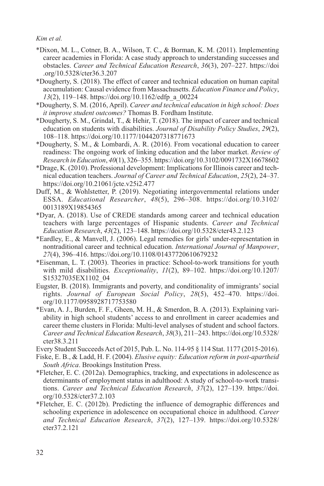- \*Dixon, M. L., Cotner, B. A., Wilson, T. C., & Borman, K. M. (2011). Implementing career academies in Florida: A case study approach to understanding successes and obstacles. *Career and Technical Education Research*, *36*(3), 207–227. [https://doi](https://doi.org/10.5328/cter36.3.207) [.org/10.5328/cter36.3.207](https://doi.org/10.5328/cter36.3.207)
- \*Dougherty, S. (2018). The effect of career and technical education on human capital accumulation: Causal evidence from Massachusetts. *Education Finance and Policy*, *13*(2), 119–148. [https://doi.org/10.1162/edfp\\_a\\_00224](https://doi.org/10.1162/edfp_a_00224)
- \*Dougherty, S. M. (2016, April). *Career and technical education in high school: Does it improve student outcomes?* Thomas B. Fordham Institute.
- \*Dougherty, S. M., Grindal, T., & Hehir, T. (2018). The impact of career and technical education on students with disabilities. *Journal of Disability Policy Studies*, *29*(2), 108–118.<https://doi.org/10.1177/1044207318771673>
- \*Dougherty, S. M., & Lombardi, A. R. (2016). From vocational education to career readiness: The ongoing work of linking education and the labor market. *Review of Research in Education*, *40*(1), 326–355.<https://doi.org/10.3102/0091732X16678602>
- \*Drage, K. (2010). Professional development: Implications for Illinois career and technical education teachers. *Journal of Career and Technical Education*, *25*(2), 24–37. <https://doi.org/10.21061/jcte.v25i2.477>
- Duff, M., & Wohlstetter, P. (2019). Negotiating intergovernmental relations under ESSA. *Educational Researcher*, *48*(5), 296–308. [https://doi.org/10.3102/](https://doi.org/10.3102/0013189X19854365) [0013189X19854365](https://doi.org/10.3102/0013189X19854365)
- \*Dyar, A. (2018). Use of CREDE standards among career and technical education teachers with large percentages of Hispanic students. *Career and Technical Education Research*, *43*(2), 123–148. <https://doi.org/10.5328/cter43.2.123>
- \*Eardley, E., & Manvell, J. (2006). Legal remedies for girls' under-representation in nontraditional career and technical education. *International Journal of Manpower*, *27*(4), 396–416. <https://doi.org/10.1108/01437720610679232>
- \*Eisenman, L. T. (2003). Theories in practice: School-to-work transitions for youth with mild disabilities. *Exceptionality*, *11*(2), 89–102. [https://doi.org/10.1207/](https://doi.org/10.1207/S15327035EX1102_04) [S15327035EX1102\\_04](https://doi.org/10.1207/S15327035EX1102_04)
- Eugster, B. (2018). Immigrants and poverty, and conditionality of immigrants' social rights. *Journal of European Social Policy*, *28*(5), 452–470. [https://doi.](https://doi.org/10.1177/0958928717753580) [org/10.1177/0958928717753580](https://doi.org/10.1177/0958928717753580)
- \*Evan, A. J., Burden, F. F., Gheen, M. H., & Smerdon, B. A. (2013). Explaining variability in high school students' access to and enrollment in career academies and career theme clusters in Florida: Multi-level analyses of student and school factors. *Career and Technical Education Research*, *38*(3), 211–243. [https://doi.org/10.5328/](https://doi.org/10.5328/cter38.3.211) [cter38.3.211](https://doi.org/10.5328/cter38.3.211)
- Every Student Succeeds Act of 2015, Pub. L. No. 114-95 § 114 Stat. 1177 (2015-2016).
- Fiske, E. B., & Ladd, H. F. (2004). *Elusive equity: Education reform in post-apartheid South Africa*. Brookings Institution Press.
- \*Fletcher, E. C. (2012a). Demographics, tracking, and expectations in adolescence as determinants of employment status in adulthood: A study of school-to-work transitions. *Career and Technical Education Research*, *37*(2), 127–139. [https://doi.](https://doi.org/10.5328/cter37.2.103) [org/10.5328/cter37.2.103](https://doi.org/10.5328/cter37.2.103)
- \*Fletcher, E. C. (2012b). Predicting the influence of demographic differences and schooling experience in adolescence on occupational choice in adulthood. *Career and Technical Education Research*, *37*(2), 127–139. [https://doi.org/10.5328/](https://doi.org/10.5328/cter37.2.121) [cter37.2.121](https://doi.org/10.5328/cter37.2.121)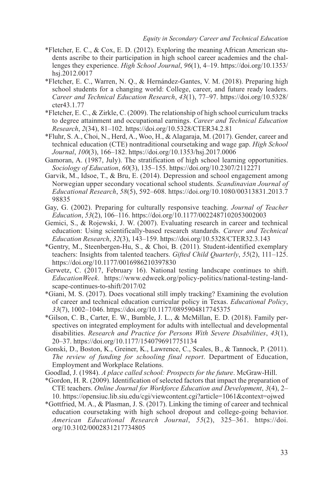- \*Fletcher, E. C., & Cox, E. D. (2012). Exploring the meaning African American students ascribe to their participation in high school career academies and the challenges they experience. *High School Journal*, *96*(1), 4–19. [https://doi.org/10.1353/](https://doi.org/10.1353/hsj.2012.0017) [hsj.2012.0017](https://doi.org/10.1353/hsj.2012.0017)
- \*Fletcher, E. C., Warren, N. Q., & Hernández-Gantes, V. M. (2018). Preparing high school students for a changing world: College, career, and future ready leaders. *Career and Technical Education Research*, *43*(1), 77–97. [https://doi.org/10.5328/](https://doi.org/10.5328/cter43.1.77) [cter43.1.77](https://doi.org/10.5328/cter43.1.77)
- \*Fletcher, E. C., & Zirkle, C. (2009). The relationship of high school curriculum tracks to degree attainment and occupational earnings. *Career and Technical Education Research*, *2*(34), 81–102.<https://doi.org/10.5328/CTER34.2.81>
- \*Fluhr, S. A., Choi, N., Herd, A., Woo, H., & Alagaraja, M. (2017). Gender, career and technical education (CTE) nontraditional coursetaking and wage gap. *High School Journal*, *100*(3), 166–182. <https://doi.org/10.1353/hsj.2017.0006>
- Gamoran, A. (1987, July). The stratification of high school learning opportunities. *Sociology of Education*, *60*(3), 135–155. <https://doi.org/10.2307/2112271>
- Garvik, M., Idsoe, T., & Bru, E. (2014). Depression and school engagement among Norwegian upper secondary vocational school students. *Scandinavian Journal of Educational Research*, *58*(5), 592–608. [https://doi.org/10.1080/00313831.2013.7](https://doi.org/10.1080/00313831.2013.798835) [98835](https://doi.org/10.1080/00313831.2013.798835)
- Gay, G. (2002). Preparing for culturally responsive teaching. *Journal of Teacher Education*, *53*(2), 106–116.<https://doi.org/10.1177/0022487102053002003>
- Gemici, S., & Rojewski, J. W. (2007). Evaluating research in career and technical education: Using scientifically-based research standards. *Career and Technical Education Research*, *32*(3), 143–159. <https://doi.org/10.5328/CTER32.3.143>
- \*Gentry, M., Steenbergen-Hu, S., & Choi, B. (2011). Student-identified exemplary teachers: Insights from talented teachers. *Gifted Child Quarterly*, *55*(2), 111–125. <https://doi.org/10.1177/0016986210397830>
- Gerwetz, C. (2017, February 16). National testing landscape continues to shift. *EducationWeek*. [https://www.edweek.org/policy-politics/national-testing-land](https://www.edweek.org/policy-politics/national-testing-landscape-continues-to-shift/2017/02)[scape-continues-to-shift/2017/02](https://www.edweek.org/policy-politics/national-testing-landscape-continues-to-shift/2017/02)
- \*Giani, M. S. (2017). Does vocational still imply tracking? Examining the evolution of career and technical education curricular policy in Texas. *Educational Policy*, *33*(7), 1002–1046.<https://doi.org/10.1177/0895904817745375>
- \*Gilson, C. B., Carter, E. W., Bumble, J. L., & McMillan, E. D. (2018). Family perspectives on integrated employment for adults with intellectual and developmental disabilities. *Research and Practice for Persons With Severe Disabilities*, *43*(1), 20–37. <https://doi.org/10.1177/1540796917751134>
- Gonski, D., Boston, K., Greiner, K., Lawrence, C., Scales, B., & Tannock, P. (2011). *The review of funding for schooling final report*. Department of Education, Employment and Workplace Relations.
- Goodlad, J. (1984). *A place called school: Prospects for the future*. McGraw-Hill.
- \*Gordon, H. R. (2009). Identification of selected factors that impact the preparation of CTE teachers. *Online Journal for Workforce Education and Development*, *3*(4), 2– 10. <https://opensiuc.lib.siu.edu/cgi/viewcontent.cgi?article=1061&context=ojwed>
- \*Gottfried, M. A., & Plasman, J. S. (2017). Linking the timing of career and technical education coursetaking with high school dropout and college-going behavior. *American Educational Research Journal*, *55*(2), 325–361. [https://doi.](https://doi.org/10.3102/0002831217734805) [org/10.3102/0002831217734805](https://doi.org/10.3102/0002831217734805)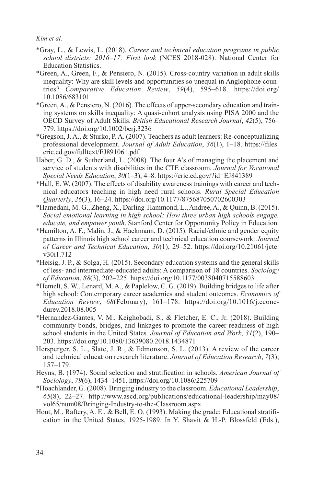- \*Gray, L., & Lewis, L. (2018). *Career and technical education programs in public school districts: 2016–17: First look* (NCES 2018-028). National Center for Education Statistics.
- \*Green, A., Green, F., & Pensiero, N. (2015). Cross-country variation in adult skills inequality: Why are skill levels and opportunities so unequal in Anglophone countries? *Comparative Education Review*, *59*(4), 595–618. <https://doi.org/> 10.1086/683101
- \*Green, A., & Pensiero, N. (2016). The effects of upper-secondary education and training systems on skills inequality: A quasi-cohort analysis using PISA 2000 and the OECD Survey of Adult Skills. *British Educational Research Journal*, *42*(5), 756– 779.<https://doi.org/10.1002/berj.3236>
- \*Gregson, J. A., & Sturko, P. A. (2007). Teachers as adult learners: Re-conceptualizing professional development. *Journal of Adult Education*, *36*(1), 1–18. [https://files.](https://files.eric.ed.gov/fulltext/EJ891061.pdf) [eric.ed.gov/fulltext/EJ891061.pdf](https://files.eric.ed.gov/fulltext/EJ891061.pdf)
- Haber, G. D., & Sutherland, L. (2008). The four A's of managing the placement and service of students with disabilities in the CTE classroom. *Journal for Vocational Special Needs Education*, *30*(1–3), 4–8.<https://eric.ed.gov/?id=EJ841389>
- \*Hall, E. W. (2007). The effects of disability awareness trainings with career and technical educators teaching in high need rural schools. *Rural Special Education Quarterly*, *26*(3), 16–24.<https://doi.org/10.1177/875687050702600303>
- \*Hamedani, M. G., Zheng, X., Darling-Hammond, L., Andree, A., & Quinn, B. (2015). *Social emotional learning in high school: How three urban high schools engage, educate, and empower youth*. Stanford Center for Opportunity Policy in Education.
- \*Hamilton, A. F., Malin, J., & Hackmann, D. (2015). Racial/ethnic and gender equity patterns in Illinois high school career and technical education coursework. *Journal of Career and Technical Education*, *30*(1), 29–52. [https://doi.org/10.21061/jcte.](https://doi.org/10.21061/jcte.v30i1.712) [v30i1.712](https://doi.org/10.21061/jcte.v30i1.712)
- \*Heisig, J. P., & Solga, H. (2015). Secondary education systems and the general skills of less- and intermediate-educated adults: A comparison of 18 countries. *Sociology of Education*, *88*(3), 202–225.<https://doi.org/10.1177/0038040715588603>
- \*Hemelt, S. W., Lenard, M. A., & Paplelow, C. G. (2019). Building bridges to life after high school: Contemporary career academies and student outcomes. *Economics of Education Review*, *68*(February), 161–178. [https://doi.org/10.1016/j.econe](https://doi.org/10.1016/j.econedurev.2018.08.005)[durev.2018.08.005](https://doi.org/10.1016/j.econedurev.2018.08.005)
- \*Hernandez-Gantes, V. M., Keighobadi, S., & Fletcher, E. C., Jr. (2018). Building community bonds, bridges, and linkages to promote the career readiness of high school students in the United States. *Journal of Education and Work*, *31*(2), 190– 203.<https://doi.org/10.1080/13639080.2018.1434871>
- Hersperger, S. L., Slate, J. R., & Edmonson, S. L. (2013). A review of the career and technical education research literature. *Journal of Education Research*, *7*(3), 157–179.
- Heyns, B. (1974). Social selection and stratification in schools. *American Journal of Sociology*, *79*(6), 1434–1451.<https://doi.org/10.1086/225709>
- \*Hoachlander, G. (2008). Bringing industry to the classroom. *Educational Leadership*, *65*(8), 22–27. [http://www.ascd.org/publications/educational-leadership/may08/](http://www.ascd.org/publications/educational-leadership/may08/vol65/num08/Bringing-Industry-to-the-Classroom.aspx) [vol65/num08/Bringing-Industry-to-the-Classroom.aspx](http://www.ascd.org/publications/educational-leadership/may08/vol65/num08/Bringing-Industry-to-the-Classroom.aspx)
- Hout, M., Raftery, A. E., & Bell, E. O. (1993). Making the grade: Educational stratification in the United States, 1925-1989. In Y. Shavit & H.-P. Blossfeld (Eds.),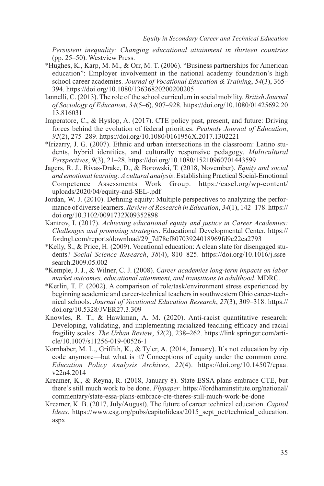*Persistent inequality: Changing educational attainment in thirteen countries* (pp. 25–50). Westview Press.

- \*Hughes, K., Karp, M. M., & Orr, M. T. (2006). "Business partnerships for American education": Employer involvement in the national academy foundation's high school career academies. *Journal of Vocational Education & Training*, *54*(3), 365– 394.<https://doi.org/10.1080/13636820200200205>
- Iannelli, C. (2013). The role of the school curriculum in social mobility. *British Journal of Sociology of Education*, *34*(5–6), 907–928. [https://doi.org/10.1080/01425692.20](https://doi.org/10.1080/01425692.2013.816031) [13.816031](https://doi.org/10.1080/01425692.2013.816031)
- Imperatore, C., & Hyslop, A. (2017). CTE policy past, present, and future: Driving forces behind the evolution of federal priorities. *Peabody Journal of Education*, *92*(2), 275–289. <https://doi.org/10.1080/0161956X.2017.1302221>
- \*Irizarry, J. G. (2007). Ethnic and urban intersections in the classroom: Latino students, hybrid identities, and culturally responsive pedagogy. *Multicultural Perspectives*, *9*(3), 21–28.<https://doi.org/10.1080/15210960701443599>
- Jagers, R. J., Rivas-Drake, D., & Borowski, T. (2018, November). *Equity and social and emotional learning: A cultural analysis*. Establishing Practical Social-Emotional Competence Assessments Work Group. [https://casel.org/wp-content/](https://casel.org/wp-content/uploads/2020/04/equity-and-SEL-.pdf) [uploads/2020/04/equity-and-SEL-.pdf](https://casel.org/wp-content/uploads/2020/04/equity-and-SEL-.pdf)
- Jordan, W. J. (2010). Defining equity: Multiple perspectives to analyzing the performance of diverse learners. *Review of Research in Education*, *34*(1), 142–178. [https://](https://doi.org/10.3102/0091732X09352898) [doi.org/10.3102/0091732X09352898](https://doi.org/10.3102/0091732X09352898)
- Kantrov, I. (2017). *Achieving educational equity and justice in Career Academies: Challenges and promising strategies*. Educational Developmental Center. [https://](https://fordngl.com/reports/download/29_7d78cf80703924018969fd9c22ea2793) [fordngl.com/reports/download/29\\_7d78cf80703924018969fd9c22ea2793](https://fordngl.com/reports/download/29_7d78cf80703924018969fd9c22ea2793)
- \*Kelly, S., & Price, H. (2009). Vocational education: A clean slate for disengaged students? *Social Science Research*, *38*(4), 810–825. [https://doi.org/10.1016/j.ssre](https://doi.org/10.1016/j.ssresearch.2009.05.002)[search.2009.05.002](https://doi.org/10.1016/j.ssresearch.2009.05.002)
- \*Kemple, J. J., & Wilner, C. J. (2008). *Career academies long-term impacts on labor market outcomes, educational attainment, and transitions to adulthood*. MDRC.
- \*Kerlin, T. F. (2002). A comparison of role/task/environment stress experienced by beginning academic and career-technical teachers in southwestern Ohio career-technical schools. *Journal of Vocational Education Research*, *27*(3), 309–318. [https://](https://doi.org/10.5328/JVER27.3.309) [doi.org/10.5328/JVER27.3.309](https://doi.org/10.5328/JVER27.3.309)
- Knowles, R. T., & Hawkman, A. M. (2020). Anti-racist quantitative research: Developing, validating, and implementing racialized teaching efficacy and racial fragility scales. *The Urban Review*, *52*(2), 238–262. [https://link.springer.com/arti](https://link.springer.com/article/10.1007/s11256-019-00526-1)[cle/10.1007/s11256-019-00526-1](https://link.springer.com/article/10.1007/s11256-019-00526-1)
- Kornhaber, M. L., Griffith, K., & Tyler, A. (2014, January). It's not education by zip code anymore—but what is it? Conceptions of equity under the common core. *Education Policy Analysis Archives*, *22*(4). [https://doi.org/10.14507/epaa.](https://doi.org/10.14507/epaa.v22n4.2014) [v22n4.2014](https://doi.org/10.14507/epaa.v22n4.2014)
- Kreamer, K., & Reyna, R. (2018, January 8). State ESSA plans embrace CTE, but there's still much work to be done. *Flypaper*. [https://fordhaminstitute.org/national/](https://fordhaminstitute.org/national/commentary/state-essa-plans-embrace-cte-theres-still-much-work-be-done) [commentary/state-essa-plans-embrace-cte-theres-still-much-work-be-done](https://fordhaminstitute.org/national/commentary/state-essa-plans-embrace-cte-theres-still-much-work-be-done)
- Kreamer, K. B. (2017, July/August). The future of career technical education. *Capitol Ideas*. [https://www.csg.org/pubs/capitolideas/2015\\_sept\\_oct/technical\\_education.](https://www.csg.org/pubs/capitolideas/2015_sept_oct/technical_education.aspx) [aspx](https://www.csg.org/pubs/capitolideas/2015_sept_oct/technical_education.aspx)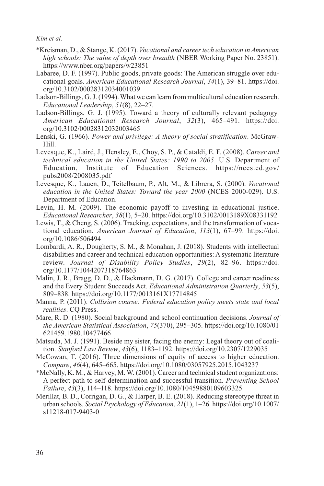- \*Kreisman, D., & Stange, K. (2017). *Vocational and career tech education in American high schools: The value of depth over breadth* (NBER Working Paper No. 23851). <https://www.nber.org/papers/w23851>
- Labaree, D. F. (1997). Public goods, private goods: The American struggle over educational goals. *American Educational Research Journal*, *34*(1), 39–81. [https://doi.](https://doi.org/10.3102/00028312034001039) [org/10.3102/00028312034001039](https://doi.org/10.3102/00028312034001039)
- Ladson-Billings, G. J. (1994). What we can learn from multicultural education research. *Educational Leadership*, *51*(8), 22–27.
- Ladson-Billings, G. J. (1995). Toward a theory of culturally relevant pedagogy. *American Educational Research Journal*, *32*(3), 465–491. [https://doi.](https://doi.org/10.3102/00028312032003465) [org/10.3102/00028312032003465](https://doi.org/10.3102/00028312032003465)
- Lenski, G. (1966). *Power and privilege: A theory of social stratification*. McGraw-Hill.
- Levesque, K., Laird, J., Hensley, E., Choy, S. P., & Cataldi, E. F. (2008). *Career and technical education in the United States: 1990 to 2005*. U.S. Department of Education, Institute of Education Sciences. [https://nces.ed.gov/](https://nces.ed.gov/pubs2008/2008035.pdf) [pubs2008/2008035.pdf](https://nces.ed.gov/pubs2008/2008035.pdf)
- Levesque, K., Lauen, D., Teitelbaum, P., Alt, M., & Librera, S. (2000). *Vocational education in the United States: Toward the year 2000* (NCES 2000-029). U.S. Department of Education.
- Levin, H. M. (2009). The economic payoff to investing in educational justice. *Educational Researcher*, *38*(1), 5–20. <https://doi.org/10.3102/0013189X08331192>
- Lewis, T., & Cheng, S. (2006). Tracking, expectations, and the transformation of vocational education. *American Journal of Education*, *113*(1), 67–99. [https://doi.](https://doi.org/10.1086/506494) [org/10.1086/506494](https://doi.org/10.1086/506494)
- Lombardi, A. R., Dougherty, S. M., & Monahan, J. (2018). Students with intellectual disabilities and career and technical education opportunities: A systematic literature review. *Journal of Disability Policy Studies*, *29*(2), 82–96. [https://doi.](https://doi.org/10.1177/1044207318764863) [org/10.1177/1044207318764863](https://doi.org/10.1177/1044207318764863)
- Malin, J. R., Bragg, D. D., & Hackmann, D. G. (2017). College and career readiness and the Every Student Succeeds Act. *Educational Administration Quarterly*, *53*(5), 809–838.<https://doi.org/10.1177/0013161X17714845>
- Manna, P. (2011). *Collision course: Federal education policy meets state and local realities*. CQ Press.
- Mare, R. D. (1980). Social background and school continuation decisions. *Journal of the American Statistical Association*, *75*(370), 295–305. [https://doi.org/10.1080/01](https://doi.org/10.1080/01621459.1980.10477466) [621459.1980.10477466](https://doi.org/10.1080/01621459.1980.10477466)
- Matsuda, M. J. (1991). Beside my sister, facing the enemy: Legal theory out of coalition. *Stanford Law Review*, *43*(6), 1183–1192.<https://doi.org/10.2307/1229035>
- McCowan, T. (2016). Three dimensions of equity of access to higher education. *Compare*, *46*(4), 645–665.<https://doi.org/10.1080/03057925.2015.1043237>
- \*McNally, K. M., & Harvey, M. W. (2001). Career and technical student organizations: A perfect path to self-determination and successful transition. *Preventing School Failure*, *43*(3), 114–118. <https://doi.org/10.1080/10459880109603325>
- Merillat, B. D., Corrigan, D. G., & Harper, B. E. (2018). Reducing stereotype threat in urban schools. *Social Psychology of Education*, *21*(1), 1–26. [https://doi.org/10.1007/](https://doi.org/10.1007/s11218-017-9403-0) [s11218-017-9403-0](https://doi.org/10.1007/s11218-017-9403-0)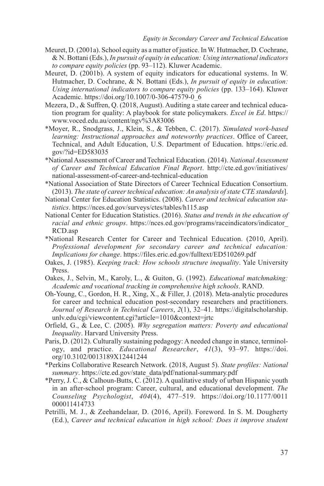- Meuret, D. (2001a). School equity as a matter of justice. In W. Hutmacher, D. Cochrane, & N. Bottani (Eds.), *In pursuit of equity in education: Using international indicators to compare equity policies* (pp. 93–112). Kluwer Academic.
- Meuret, D. (2001b). A system of equity indicators for educational systems. In W. Hutmacher, D. Cochrane, & N. Bottani (Eds.), *In pursuit of equity in education: Using international indicators to compare equity policies* (pp. 133–164). Kluwer Academic. [https://doi.org/10.1007/0-306-47579-0\\_6](https://doi.org/10.1007/0-306-47579-0_6)
- Mezera, D., & Suffren, Q. (2018, August). Auditing a state career and technical education program for quality: A playbook for state policymakers. *Excel in Ed*. [https://](https://www.voced.edu.au/content/ngv%3A83006) [www.voced.edu.au/content/ngv%3A83006](https://www.voced.edu.au/content/ngv%3A83006)
- \*Moyer, R., Snodgrass, J., Klein, S., & Tebben, C. (2017). *Simulated work-based learning: Instructional approaches and noteworthy practices*. Office of Career, Technical, and Adult Education, U.S. Department of Education. [https://eric.ed.](https://eric.ed.gov/?id=ED583035) [gov/?id=ED583035](https://eric.ed.gov/?id=ED583035)
- \*National Assessment of Career and Technical Education. (2014). *National Assessment of Career and Technical Education Final Report*. [http://cte.ed.gov/initiatives/](http://cte.ed.gov/initiatives/national-assessment-of-career-and-technical-education) [national-assessment-of-career-and-technical-education](http://cte.ed.gov/initiatives/national-assessment-of-career-and-technical-education)
- \*National Association of State Directors of Career Technical Education Consortium. (2013). *The state of career technical education: An analysis of state CTE standards*].
- National Center for Education Statistics. (2008). *Career and technical education statistics*.<https://nces.ed.gov/surveys/ctes/tables/h115.asp>
- National Center for Education Statistics. (2016). *Status and trends in the education of racial and ethnic groups*. [https://nces.ed.gov/programs/raceindicators/indicator\\_](https://nces.ed.gov/programs/raceindicators/indicator_RCD.asp) [RCD.asp](https://nces.ed.gov/programs/raceindicators/indicator_RCD.asp)
- \*National Research Center for Career and Technical Education. (2010, April). *Professional development for secondary career and technical education: Implications for change*. <https://files.eric.ed.gov/fulltext/ED510269.pdf>
- Oakes, J. (1985). *Keeping track: How schools structure inequality*. Yale University Press.
- Oakes, J., Selvin, M., Karoly, L., & Guiton, G. (1992). *Educational matchmaking: Academic and vocational tracking in comprehensive high schools*. RAND.
- Oh-Young, C., Gordon, H. R., Xing, X., & Filler, J. (2018). Meta-analytic procedures for career and technical education post-secondary researchers and practitioners. *Journal of Research in Technical Careers*, *2*(1), 32–41. [https://digitalscholarship.](https://digitalscholarship.unlv.edu/cgi/viewcontent.cgi?article=1010&context=jrtc) [unlv.edu/cgi/viewcontent.cgi?article=1010&context=jrtc](https://digitalscholarship.unlv.edu/cgi/viewcontent.cgi?article=1010&context=jrtc)
- Orfield, G., & Lee, C. (2005). *Why segregation matters: Poverty and educational Inequality*. Harvard University Press.
- Paris, D. (2012). Culturally sustaining pedagogy: A needed change in stance, terminology, and practice. *Educational Researcher*, *41*(3), 93–97. [https://doi.](https://doi.org/10.3102/0013189X12441244) [org/10.3102/0013189X12441244](https://doi.org/10.3102/0013189X12441244)
- \*Perkins Collaborative Research Network. (2018, August 5). *State profiles: National summary*. [https://cte.ed.gov/state\\_data/pdf/national-summary.pdf](https://cte.ed.gov/state_data/pdf/national-summary.pdf)
- \*Perry, J. C., & Calhoun-Butts, C. (2012). A qualitative study of urban Hispanic youth in an after-school program: Career, cultural, and educational development. *The Counseling Psychologist*, *404*(4), 477–519. [https://doi.org/10.1177/0011](https://doi.org/10.1177/0011000011414733) [000011414733](https://doi.org/10.1177/0011000011414733)
- Petrilli, M. J., & Zeehandelaar, D. (2016, April). Foreword. In S. M. Dougherty (Ed.), *Career and technical education in high school: Does it improve student*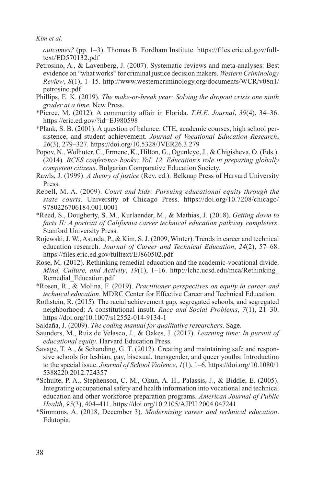*outcomes?* (pp. 1–3). Thomas B. Fordham Institute. [https://files.eric.ed.gov/full](https://files.eric.ed.gov/fulltext/ED570132.pdf)[text/ED570132.pdf](https://files.eric.ed.gov/fulltext/ED570132.pdf)

- Petrosino, A., & Lavenberg, J. (2007). Systematic reviews and meta-analyses: Best evidence on "what works" for criminal justice decision makers. *Western Criminology Review*, *8*(1), 1–15. [http://www.westerncriminology.org/documents/WCR/v08n1/](http://www.westerncriminology.org/documents/WCR/v08n1/petrosino.pdf) [petrosino.pdf](http://www.westerncriminology.org/documents/WCR/v08n1/petrosino.pdf)
- Phillips, E. K. (2019). *The make-or-break year: Solving the dropout crisis one ninth grader at a time*. New Press.
- \*Pierce, M. (2012). A community affair in Florida. *T.H.E. Journal*, *39*(4), 34–36. <https://eric.ed.gov/?id=EJ980598>
- \*Plank, S. B. (2001). A question of balance: CTE, academic courses, high school persistence, and student achievement. *Journal of Vocational Education Research*, *26*(3), 279–327. <https://doi.org/10.5328/JVER26.3.279>
- Popov, N., Wolhuter, C., Ermenc, K., Hilton, G., Ogunleye, J., & Chigisheva, O. (Eds.). (2014). *BCES conference books: Vol. 12. Education's role in preparing globally competent citizens*. Bulgarian Comparative Education Society.
- Rawls, J. (1999). *A theory of justice* (Rev. ed.). Belknap Press of Harvard University Press.
- Rebell, M. A. (2009). *Court and kids: Pursuing educational equity through the state courts*. University of Chicago Press. [https://doi.org/10.7208/chicago/](https://doi.org/10.7208/chicago/9780226706184.001.0001) [9780226706184.001.0001](https://doi.org/10.7208/chicago/9780226706184.001.0001)
- \*Reed, S., Dougherty, S. M., Kurlaender, M., & Mathias, J. (2018). *Getting down to facts II: A portrait of California career technical education pathway completers*. Stanford University Press.
- Rojewski, J. W., Asunda, P., & Kim, S. J. (2009, Winter). Trends in career and technical education research. *Journal of Career and Technical Education*, *24*(2), 57–68. <https://files.eric.ed.gov/fulltext/EJ860502.pdf>
- Rose, M. (2012). Rethinking remedial education and the academic-vocational divide. *Mind, Culture, and Activity*, *19*(1), 1–16. [http://lchc.ucsd.edu/mca/Rethinking\\_](http://lchc.ucsd.edu/mca/Rethinking_Remedial_Education.pdf) [Remedial\\_Education.pdf](http://lchc.ucsd.edu/mca/Rethinking_Remedial_Education.pdf)
- \*Rosen, R., & Molina, F. (2019). *Practitioner perspectives on equity in career and technical education*. MDRC Center for Effective Career and Technical Education.
- Rothstein, R. (2015). The racial achievement gap, segregated schools, and segregated neighborhood: A constitutional insult. *Race and Social Problems*, *7*(1), 21–30. <https://doi.org/10.1007/s12552-014-9134-1>
- Saldaña, J. (2009). *The coding manual for qualitative researchers*. Sage.
- Saunders, M., Ruiz de Velasco, J., & Oakes, J. (2017). *Learning time: In pursuit of educational equity*. Harvard Education Press.
- Savage, T. A., & Schanding, G. T. (2012). Creating and maintaining safe and responsive schools for lesbian, gay, bisexual, transgender, and queer youths: Introduction to the special issue. *Journal of School Violence*, *1*(1), 1–6. [https://doi.org/10.1080/1](https://doi.org/10.1080/15388220.2012.724357) [5388220.2012.724357](https://doi.org/10.1080/15388220.2012.724357)
- \*Schulte, P. A., Stephenson, C. M., Okun, A. H., Palassis, J., & Biddle, E. (2005). Integrating occupational safety and health information into vocational and technical education and other workforce preparation programs. *American Journal of Public Health*, *95*(3), 404–411. <https://doi.org/10.2105/AJPH.2004.047241>
- \*Simmons, A. (2018, December 3). *Modernizing career and technical education*. Edutopia.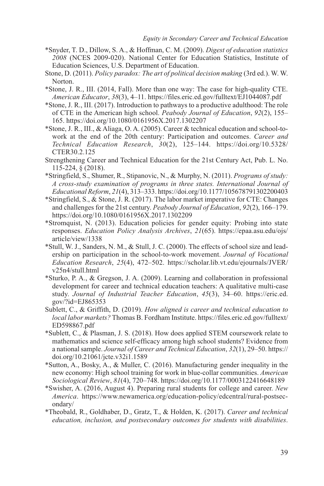- \*Snyder, T. D., Dillow, S. A., & Hoffman, C. M. (2009). *Digest of education statistics 2008* (NCES 2009-020). National Center for Education Statistics, Institute of Education Sciences, U.S. Department of Education.
- Stone, D. (2011). *Policy paradox: The art of political decision making* (3rd ed.). W. W. Norton.
- \*Stone, J. R., III. (2014, Fall). More than one way: The case for high-quality CTE. *American Educator*, *38*(3), 4–11.<https://files.eric.ed.gov/fulltext/EJ1044087.pdf>
- \*Stone, J. R., III. (2017). Introduction to pathways to a productive adulthood: The role of CTE in the American high school. *Peabody Journal of Education*, *92*(2), 155– 165.<https://doi.org/10.1080/0161956X.2017.1302207>
- \*Stone, J. R., III., & Aliaga, O. A. (2005). Career & technical education and school-towork at the end of the 20th century: Participation and outcomes. *Career and Technical Education Research*, *30*(2), 125–144. [https://doi.org/10.5328/](https://doi.org/10.5328/CTER30.2.125) [CTER30.2.125](https://doi.org/10.5328/CTER30.2.125)
- Strengthening Career and Technical Education for the 21st Century Act, Pub. L. No. 115-224, § (2018).
- \*Stringfield, S., Shumer, R., Stipanovic, N., & Murphy, N. (2011). *Programs of study: A cross-study examination of programs in three states. International Journal of Educational Reform*, *21*(4), 313–333.<https://doi.org/10.1177/105678791302200403>
- \*Stringfield, S., & Stone, J. R. (2017). The labor market imperative for CTE: Changes and challenges for the 21st century. *Peabody Journal of Education*, *92*(2), 166–179. <https://doi.org/10.1080/0161956X.2017.1302209>
- \*Stromquist, N. (2013). Education policies for gender equity: Probing into state responses. *Education Policy Analysis Archives*, *21*(65). [https://epaa.asu.edu/ojs/](https://epaa.asu.edu/ojs/article/view/1338) [article/view/1338](https://epaa.asu.edu/ojs/article/view/1338)
- \*Stull, W. J., Sanders, N. M., & Stull, J. C. (2000). The effects of school size and leadership on participation in the school-to-work movement. *Journal of Vocational Education Research*, *25*(4), 472–502. [https://scholar.lib.vt.edu/ejournals/JVER/](https://scholar.lib.vt.edu/ejournals/JVER/v25n4/stull.html) [v25n4/stull.html](https://scholar.lib.vt.edu/ejournals/JVER/v25n4/stull.html)
- \*Sturko, P. A., & Gregson, J. A. (2009). Learning and collaboration in professional development for career and technical education teachers: A qualitative multi-case study. *Journal of Industrial Teacher Education*, *45*(3), 34–60. [https://eric.ed.](https://eric.ed.gov/?id=EJ865353) [gov/?id=EJ865353](https://eric.ed.gov/?id=EJ865353)
- Sublett, C., & Griffith, D. (2019). *How aligned is career and technical education to local labor markets?* Thomas B. Fordham Institute. [https://files.eric.ed.gov/fulltext/](https://files.eric.ed.gov/fulltext/ED598867.pdf) [ED598867.pdf](https://files.eric.ed.gov/fulltext/ED598867.pdf)
- \*Sublett, C., & Plasman, J. S. (2018). How does applied STEM coursework relate to mathematics and science self-efficacy among high school students? Evidence from a national sample. *Journal of Career and Technical Education*, *32*(1), 29–50. [https://](https://doi.org/10.21061/jcte.v32i1.1589) [doi.org/10.21061/jcte.v32i1.1589](https://doi.org/10.21061/jcte.v32i1.1589)
- \*Sutton, A., Bosky, A., & Muller, C. (2016). Manufacturing gender inequality in the new economy: High school training for work in blue-collar communities. *American Sociological Review*, *81*(4), 720–748.<https://doi.org/10.1177/0003122416648189>
- \*Swisher, A. (2016, August 4). Preparing rural students for college and career. *New America*. [https://www.newamerica.org/education-policy/edcentral/rural-postsec](https://www.newamerica.org/education-policy/edcentral/rural-postsecondary/)[ondary/](https://www.newamerica.org/education-policy/edcentral/rural-postsecondary/)
- \*Theobald, R., Goldhaber, D., Gratz, T., & Holden, K. (2017). *Career and technical education, inclusion, and postsecondary outcomes for students with disabilities*.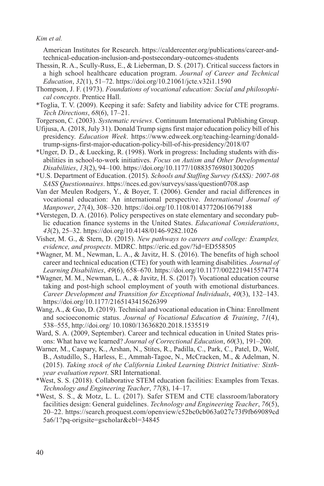American Institutes for Research. [https://caldercenter.org/publications/career-and](https://caldercenter.org/publications/career-and-technical-education-inclusion-and-postsecondary-outcomes-students)[technical-education-inclusion-and-postsecondary-outcomes-students](https://caldercenter.org/publications/career-and-technical-education-inclusion-and-postsecondary-outcomes-students)

- Thessin, R. A., Scully-Russ, E., & Lieberman, D. S. (2017). Critical success factors in a high school healthcare education program. *Journal of Career and Technical Education*, *32*(1), 51–72. <https://doi.org/10.21061/jcte.v32i1.1590>
- Thompson, J. F. (1973). *Foundations of vocational education: Social and philosophical concepts*. Prentice Hall.
- \*Toglia, T. V. (2009). Keeping it safe: Safety and liability advice for CTE programs. *Tech Directions*, *68*(6), 17–21.
- Torgerson, C. (2003). *Systematic reviews*. Continuum International Publishing Group.
- Ufijusa, A. (2018, July 31). Donald Trump signs first major education policy bill of his presidency. *Education Week*. [https://www.edweek.org/teaching-learning/donald](https://www.edweek.org/teaching-learning/donald-trump-signs-first-major-education-policy-bill-of-his-presidency/2018/07)[trump-signs-first-major-education-policy-bill-of-his-presidency/2018/07](https://www.edweek.org/teaching-learning/donald-trump-signs-first-major-education-policy-bill-of-his-presidency/2018/07)
- \*Unger, D. D., & Luecking, R. (1998). Work in progress: Including students with disabilities in school-to-work initiatives. *Focus on Autism and Other Developmental Disabilities*, *13*(2), 94–100.<https://doi.org/10.1177/108835769801300205>
- \*U.S. Department of Education. (2015). *Schools and Staffing Survey (SASS): 2007-08 SASS Questionnaires*.<https://nces.ed.gov/surveys/sass/question0708.asp>
- Van der Meulen Rodgers, Y., & Boyer, T. (2006). Gender and racial differences in vocational education: An international perspective. *International Journal of Manpower*, *27*(4), 308–320.<https://doi.org/10.1108/01437720610679188>
- \*Verstegen, D. A. (2016). Policy perspectives on state elementary and secondary public education finance systems in the United States. *Educational Considerations*, *43*(2), 25–32.<https://doi.org/10.4148/0146-9282.1026>
- Visher, M. G., & Stern, D. (2015). *New pathways to careers and college: Examples, evidence, and prospects*. MDRC.<https://eric.ed.gov/?id=ED558505>
- \*Wagner, M. M., Newman, L. A., & Javitz, H. S. (2016). The benefits of high school career and technical education (CTE) for youth with learning disabilities. *Journal of Learning Disabilities*, *49*(6), 658–670.<https://doi.org/10.1177/0022219415574774>
- \*Wagner, M. M., Newman, L. A., & Javitz, H. S. (2017). Vocational education course taking and post-high school employment of youth with emotional disturbances. *Career Development and Transition for Exceptional Individuals*, *40*(3), 132–143. <https://doi.org/10.1177/2165143415626399>
- Wang, A., & Guo, D. (2019). Technical and vocational education in China: Enrollment and socioeconomic status. *Journal of Vocational Education & Training*, *71*(4), 538–555,<http://doi.org/ 10.1080/13636820.2018.1535519>
- Ward, S. A. (2009, September). Career and technical education in United States prisons: What have we learned? *Journal of Correctional Education*, *60*(3), 191–200.
- Warner, M., Caspary, K., Arshan, N., Stites, R., Padilla, C., Park, C., Patel, D., Wolf, B., Astudillo, S., Harless, E., Ammah-Tagoe, N., McCracken, M., & Adelman, N. (2015). *Taking stock of the California Linked Learning District Initiative: Sixthyear evaluation report*. SRI International.
- \*West, S. S. (2018). Collaborative STEM education facilities: Examples from Texas. *Technology and Engineering Teacher*, *77*(8), 14–17.
- \*West, S. S., & Motz, L. L. (2017). Safer STEM and CTE classroom/laboratory facilities design: General guidelines. *Technology and Engineering Teacher*, *76*(5), 20–22. [https://search.proquest.com/openview/c52bc0cb063a027c73f9fb69089cd](https://search.proquest.com/openview/c52bc0cb063a027c73f9fb69089cd5a6/1?pq-origsite=gscholar&cbl=34845) [5a6/1?pq-origsite=gscholar&cbl=34845](https://search.proquest.com/openview/c52bc0cb063a027c73f9fb69089cd5a6/1?pq-origsite=gscholar&cbl=34845)